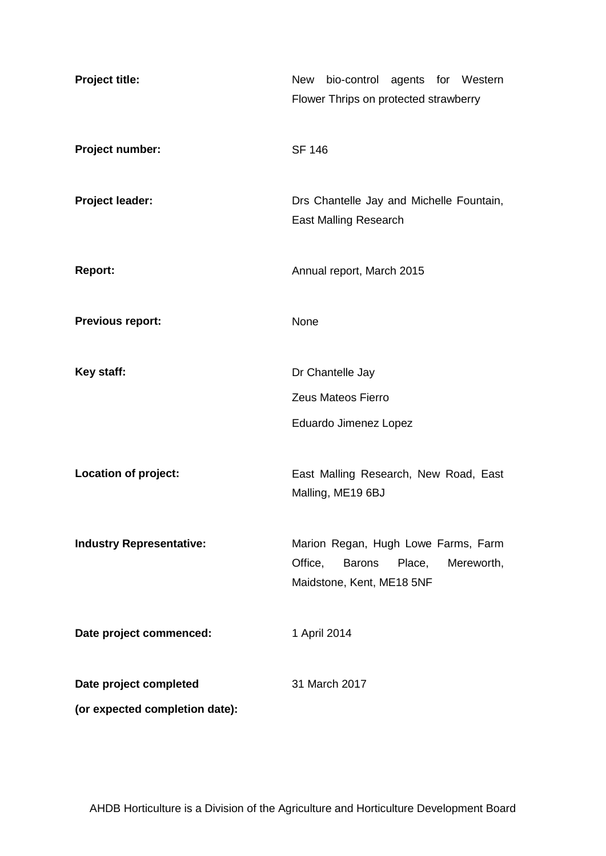| Project title:                  | New<br>bio-control agents for Western<br>Flower Thrips on protected strawberry                                       |  |  |  |  |
|---------------------------------|----------------------------------------------------------------------------------------------------------------------|--|--|--|--|
| Project number:                 | <b>SF 146</b>                                                                                                        |  |  |  |  |
| <b>Project leader:</b>          | Drs Chantelle Jay and Michelle Fountain,<br><b>East Malling Research</b>                                             |  |  |  |  |
| <b>Report:</b>                  | Annual report, March 2015                                                                                            |  |  |  |  |
| <b>Previous report:</b>         | None                                                                                                                 |  |  |  |  |
| Key staff:                      | Dr Chantelle Jay                                                                                                     |  |  |  |  |
|                                 | Zeus Mateos Fierro                                                                                                   |  |  |  |  |
|                                 | Eduardo Jimenez Lopez                                                                                                |  |  |  |  |
| Location of project:            | East Malling Research, New Road, East<br>Malling, ME19 6BJ                                                           |  |  |  |  |
| <b>Industry Representative:</b> | Marion Regan, Hugh Lowe Farms, Farm<br>Office,<br><b>Barons</b><br>Place,<br>Mereworth,<br>Maidstone, Kent, ME18 5NF |  |  |  |  |
| Date project commenced:         | 1 April 2014                                                                                                         |  |  |  |  |
| Date project completed          | 31 March 2017                                                                                                        |  |  |  |  |
| (or expected completion date):  |                                                                                                                      |  |  |  |  |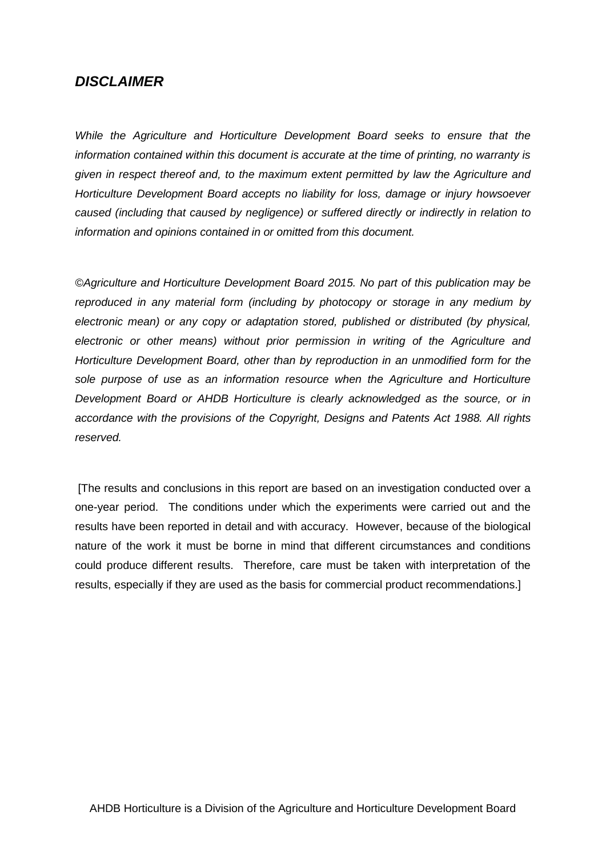## *DISCLAIMER*

*While the Agriculture and Horticulture Development Board seeks to ensure that the information contained within this document is accurate at the time of printing, no warranty is given in respect thereof and, to the maximum extent permitted by law the Agriculture and Horticulture Development Board accepts no liability for loss, damage or injury howsoever caused (including that caused by negligence) or suffered directly or indirectly in relation to information and opinions contained in or omitted from this document.*

*©Agriculture and Horticulture Development Board 2015. No part of this publication may be reproduced in any material form (including by photocopy or storage in any medium by electronic mean) or any copy or adaptation stored, published or distributed (by physical, electronic or other means) without prior permission in writing of the Agriculture and Horticulture Development Board, other than by reproduction in an unmodified form for the sole purpose of use as an information resource when the Agriculture and Horticulture Development Board or AHDB Horticulture is clearly acknowledged as the source, or in accordance with the provisions of the Copyright, Designs and Patents Act 1988. All rights reserved.*

[The results and conclusions in this report are based on an investigation conducted over a one-year period. The conditions under which the experiments were carried out and the results have been reported in detail and with accuracy. However, because of the biological nature of the work it must be borne in mind that different circumstances and conditions could produce different results. Therefore, care must be taken with interpretation of the results, especially if they are used as the basis for commercial product recommendations.]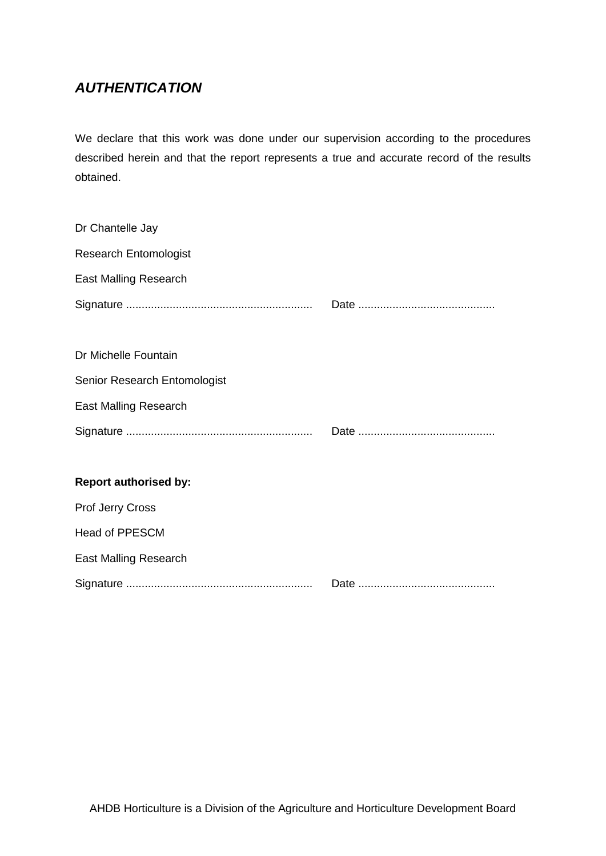# *AUTHENTICATION*

We declare that this work was done under our supervision according to the procedures described herein and that the report represents a true and accurate record of the results obtained.

| Dr Chantelle Jay             |  |
|------------------------------|--|
| <b>Research Entomologist</b> |  |
| <b>East Malling Research</b> |  |
|                              |  |
|                              |  |
| Dr Michelle Fountain         |  |
| Senior Research Entomologist |  |
| <b>East Malling Research</b> |  |
|                              |  |
|                              |  |
| <b>Report authorised by:</b> |  |
| <b>Prof Jerry Cross</b>      |  |
| <b>Head of PPESCM</b>        |  |
| <b>East Malling Research</b> |  |
|                              |  |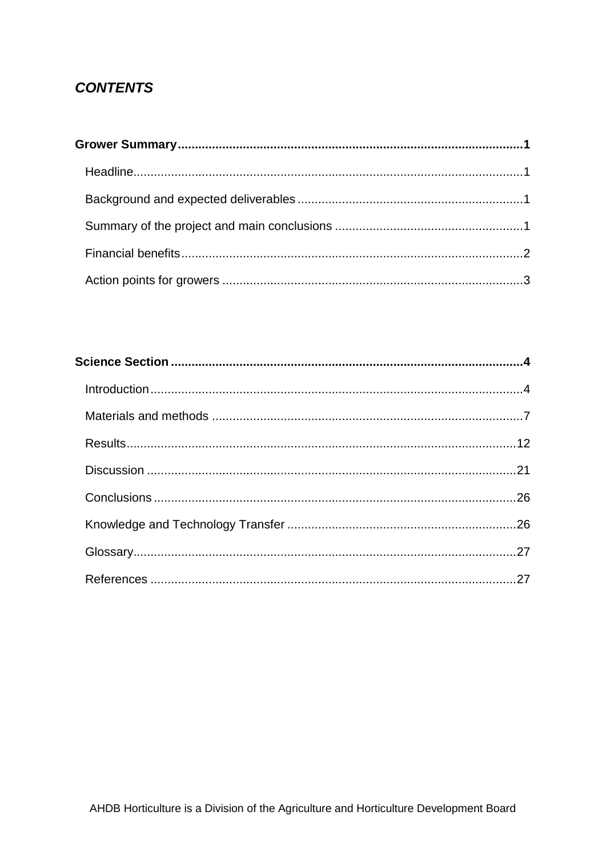# **CONTENTS**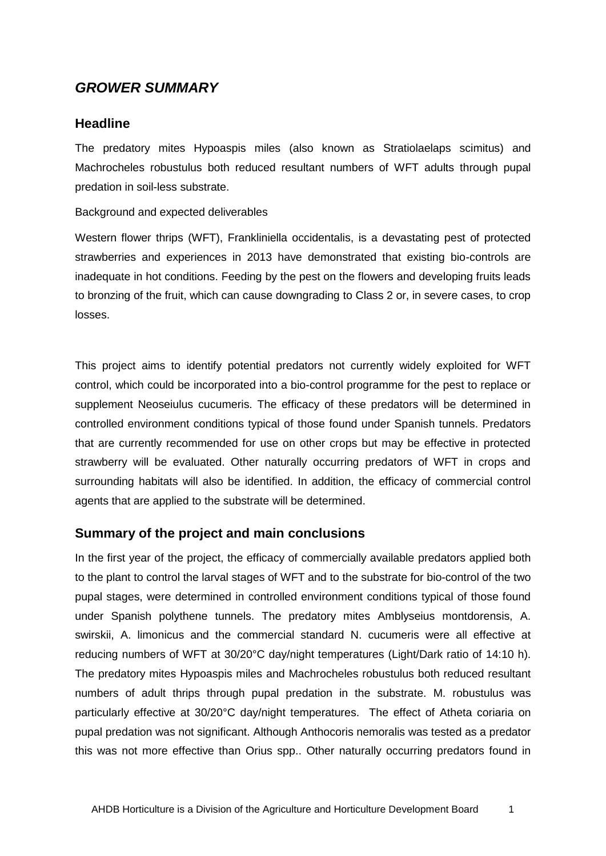## <span id="page-4-0"></span>*GROWER SUMMARY*

## <span id="page-4-1"></span>**Headline**

The predatory mites Hypoaspis miles (also known as Stratiolaelaps scimitus) and Machrocheles robustulus both reduced resultant numbers of WFT adults through pupal predation in soil-less substrate.

#### <span id="page-4-2"></span>Background and expected deliverables

<span id="page-4-3"></span>Western flower thrips (WFT), Frankliniella occidentalis, is a devastating pest of protected strawberries and experiences in 2013 have demonstrated that existing bio-controls are inadequate in hot conditions. Feeding by the pest on the flowers and developing fruits leads to bronzing of the fruit, which can cause downgrading to Class 2 or, in severe cases, to crop losses.

This project aims to identify potential predators not currently widely exploited for WFT control, which could be incorporated into a bio-control programme for the pest to replace or supplement Neoseiulus cucumeris. The efficacy of these predators will be determined in controlled environment conditions typical of those found under Spanish tunnels. Predators that are currently recommended for use on other crops but may be effective in protected strawberry will be evaluated. Other naturally occurring predators of WFT in crops and surrounding habitats will also be identified. In addition, the efficacy of commercial control agents that are applied to the substrate will be determined.

## **Summary of the project and main conclusions**

<span id="page-4-4"></span>In the first year of the project, the efficacy of commercially available predators applied both to the plant to control the larval stages of WFT and to the substrate for bio-control of the two pupal stages, were determined in controlled environment conditions typical of those found under Spanish polythene tunnels. The predatory mites Amblyseius montdorensis, A. swirskii, A. limonicus and the commercial standard N. cucumeris were all effective at reducing numbers of WFT at 30/20°C day/night temperatures (Light/Dark ratio of 14:10 h). The predatory mites Hypoaspis miles and Machrocheles robustulus both reduced resultant numbers of adult thrips through pupal predation in the substrate. M. robustulus was particularly effective at 30/20°C day/night temperatures. The effect of Atheta coriaria on pupal predation was not significant. Although Anthocoris nemoralis was tested as a predator this was not more effective than Orius spp.. Other naturally occurring predators found in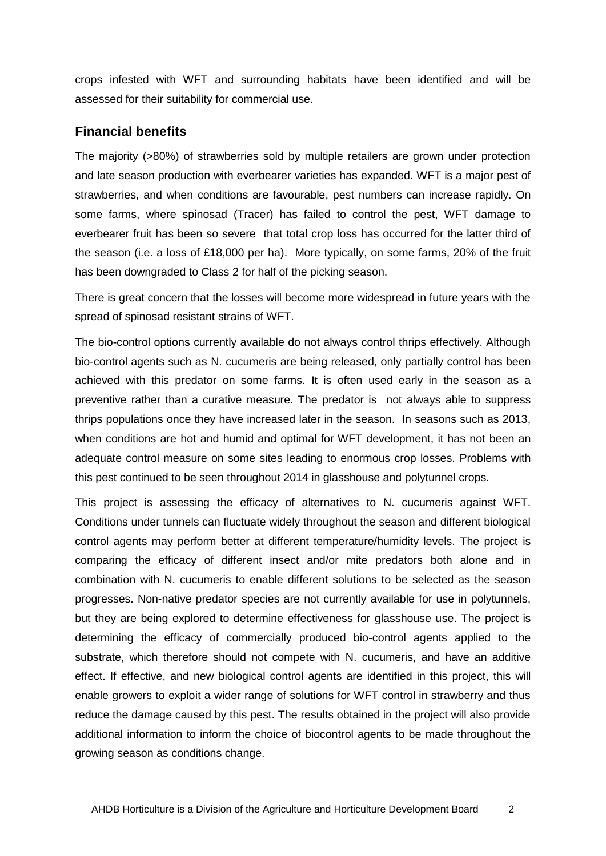crops infested with WFT and surrounding habitats have been identified and will be assessed for their suitability for commercial use.

## **Financial benefits**

<span id="page-5-0"></span>The majority (>80%) of strawberries sold by multiple retailers are grown under protection and late season production with everbearer varieties has expanded. WFT is a major pest of strawberries, and when conditions are favourable, pest numbers can increase rapidly. On some farms, where spinosad (Tracer) has failed to control the pest, WFT damage to everbearer fruit has been so severe that total crop loss has occurred for the latter third of the season (i.e. a loss of £18,000 per ha). More typically, on some farms, 20% of the fruit has been downgraded to Class 2 for half of the picking season.

There is great concern that the losses will become more widespread in future years with the spread of spinosad resistant strains of WFT.

The bio-control options currently available do not always control thrips effectively. Although bio-control agents such as N. cucumeris are being released, only partially control has been achieved with this predator on some farms. It is often used early in the season as a preventive rather than a curative measure. The predator is not always able to suppress thrips populations once they have increased later in the season. In seasons such as 2013, when conditions are hot and humid and optimal for WFT development, it has not been an adequate control measure on some sites leading to enormous crop losses. Problems with this pest continued to be seen throughout 2014 in glasshouse and polytunnel crops.

This project is assessing the efficacy of alternatives to N. cucumeris against WFT. Conditions under tunnels can fluctuate widely throughout the season and different biological control agents may perform better at different temperature/humidity levels. The project is comparing the efficacy of different insect and/or mite predators both alone and in combination with N. cucumeris to enable different solutions to be selected as the season progresses. Non-native predator species are not currently available for use in polytunnels, but they are being explored to determine effectiveness for glasshouse use. The project is determining the efficacy of commercially produced bio-control agents applied to the substrate, which therefore should not compete with N. cucumeris, and have an additive effect. If effective, and new biological control agents are identified in this project, this will enable growers to exploit a wider range of solutions for WFT control in strawberry and thus reduce the damage caused by this pest. The results obtained in the project will also provide additional information to inform the choice of biocontrol agents to be made throughout the growing season as conditions change.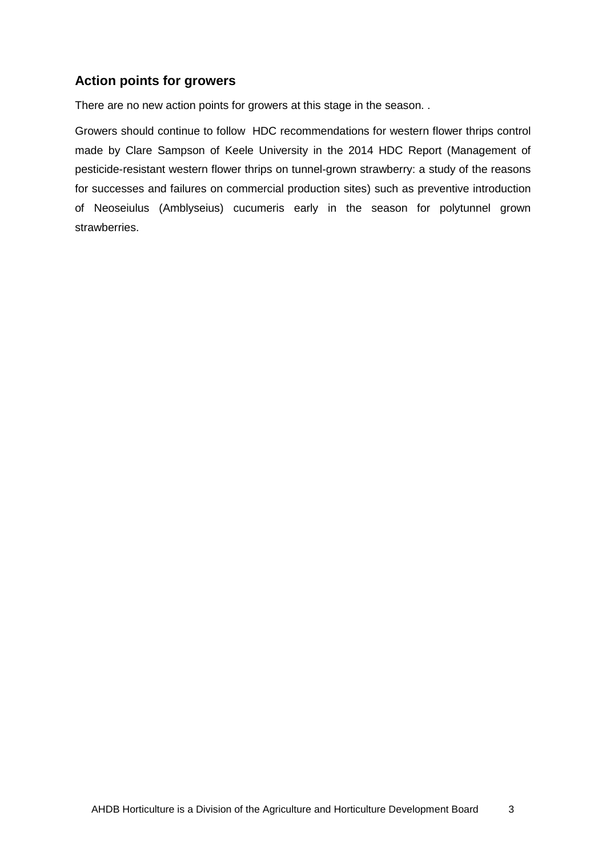## **Action points for growers**

There are no new action points for growers at this stage in the season. .

Growers should continue to follow HDC recommendations for western flower thrips control made by Clare Sampson of Keele University in the 2014 HDC Report (Management of pesticide-resistant western flower thrips on tunnel-grown strawberry: a study of the reasons for successes and failures on commercial production sites) such as preventive introduction of Neoseiulus (Amblyseius) cucumeris early in the season for polytunnel grown strawberries.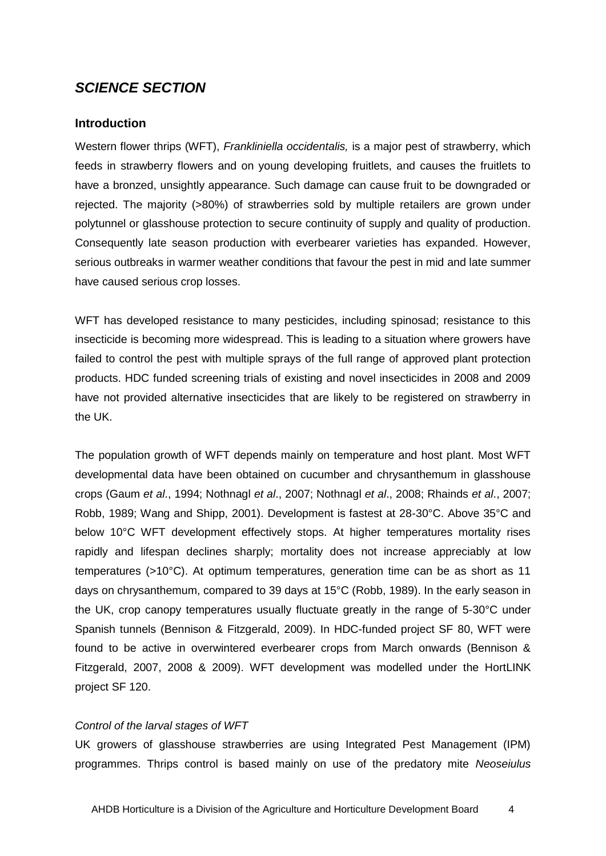## <span id="page-7-0"></span>*SCIENCE SECTION*

#### <span id="page-7-1"></span>**Introduction**

Western flower thrips (WFT), *Frankliniella occidentalis,* is a major pest of strawberry, which feeds in strawberry flowers and on young developing fruitlets, and causes the fruitlets to have a bronzed, unsightly appearance. Such damage can cause fruit to be downgraded or rejected. The majority (>80%) of strawberries sold by multiple retailers are grown under polytunnel or glasshouse protection to secure continuity of supply and quality of production. Consequently late season production with everbearer varieties has expanded. However, serious outbreaks in warmer weather conditions that favour the pest in mid and late summer have caused serious crop losses.

WFT has developed resistance to many pesticides, including spinosad; resistance to this insecticide is becoming more widespread. This is leading to a situation where growers have failed to control the pest with multiple sprays of the full range of approved plant protection products. HDC funded screening trials of existing and novel insecticides in 2008 and 2009 have not provided alternative insecticides that are likely to be registered on strawberry in the UK.

The population growth of WFT depends mainly on temperature and host plant. Most WFT developmental data have been obtained on cucumber and chrysanthemum in glasshouse crops (Gaum *et al*., 1994; Nothnagl *et al*., 2007; Nothnagl *et al*., 2008; Rhainds *et al*., 2007; Robb, 1989; Wang and Shipp, 2001). Development is fastest at 28-30°C. Above 35°C and below 10°C WFT development effectively stops. At higher temperatures mortality rises rapidly and lifespan declines sharply; mortality does not increase appreciably at low temperatures (>10°C). At optimum temperatures, generation time can be as short as 11 days on chrysanthemum, compared to 39 days at 15°C (Robb, 1989). In the early season in the UK, crop canopy temperatures usually fluctuate greatly in the range of 5-30°C under Spanish tunnels (Bennison & Fitzgerald, 2009). In HDC-funded project SF 80, WFT were found to be active in overwintered everbearer crops from March onwards (Bennison & Fitzgerald, 2007, 2008 & 2009). WFT development was modelled under the HortLINK project SF 120.

#### *Control of the larval stages of WFT*

UK growers of glasshouse strawberries are using Integrated Pest Management (IPM) programmes. Thrips control is based mainly on use of the predatory mite *Neoseiulus*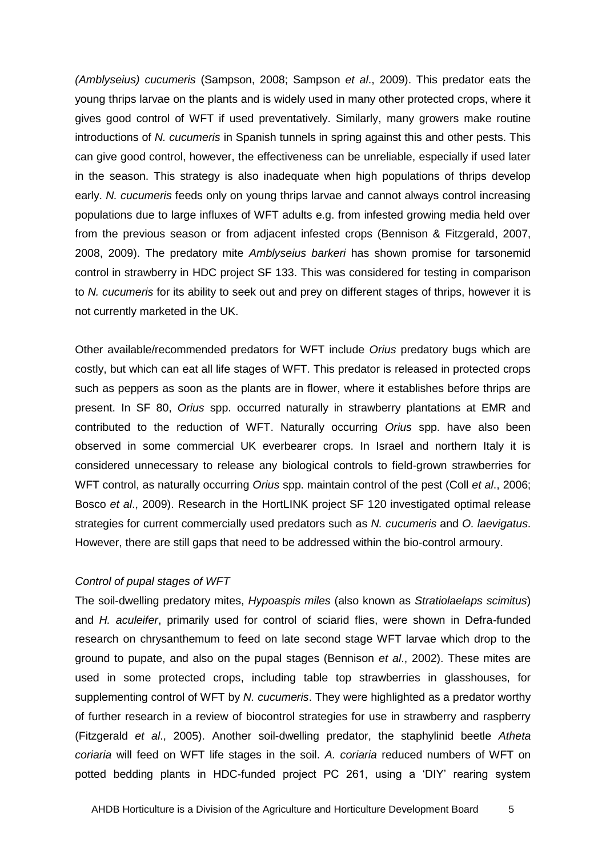*(Amblyseius) cucumeris* (Sampson, 2008; Sampson *et al*., 2009). This predator eats the young thrips larvae on the plants and is widely used in many other protected crops, where it gives good control of WFT if used preventatively. Similarly, many growers make routine introductions of *N. cucumeris* in Spanish tunnels in spring against this and other pests. This can give good control, however, the effectiveness can be unreliable, especially if used later in the season. This strategy is also inadequate when high populations of thrips develop early. *N. cucumeris* feeds only on young thrips larvae and cannot always control increasing populations due to large influxes of WFT adults e.g. from infested growing media held over from the previous season or from adjacent infested crops (Bennison & Fitzgerald, 2007, 2008, 2009). The predatory mite *Amblyseius barkeri* has shown promise for tarsonemid control in strawberry in HDC project SF 133. This was considered for testing in comparison to *N. cucumeris* for its ability to seek out and prey on different stages of thrips, however it is not currently marketed in the UK.

Other available/recommended predators for WFT include *Orius* predatory bugs which are costly, but which can eat all life stages of WFT. This predator is released in protected crops such as peppers as soon as the plants are in flower, where it establishes before thrips are present. In SF 80, *Orius* spp. occurred naturally in strawberry plantations at EMR and contributed to the reduction of WFT. Naturally occurring *Orius* spp. have also been observed in some commercial UK everbearer crops. In Israel and northern Italy it is considered unnecessary to release any biological controls to field-grown strawberries for WFT control, as naturally occurring *Orius* spp. maintain control of the pest (Coll *et al*., 2006; Bosco *et al*., 2009). Research in the HortLINK project SF 120 investigated optimal release strategies for current commercially used predators such as *N. cucumeris* and *O. laevigatus*. However, there are still gaps that need to be addressed within the bio-control armoury.

#### *Control of pupal stages of WFT*

The soil-dwelling predatory mites, *Hypoaspis miles* (also known as *Stratiolaelaps scimitus*) and *H. aculeifer*, primarily used for control of sciarid flies, were shown in Defra-funded research on chrysanthemum to feed on late second stage WFT larvae which drop to the ground to pupate, and also on the pupal stages (Bennison *et al*., 2002). These mites are used in some protected crops, including table top strawberries in glasshouses, for supplementing control of WFT by *N. cucumeris*. They were highlighted as a predator worthy of further research in a review of biocontrol strategies for use in strawberry and raspberry (Fitzgerald *et al*., 2005). Another soil-dwelling predator, the staphylinid beetle *Atheta coriaria* will feed on WFT life stages in the soil. *A. coriaria* reduced numbers of WFT on potted bedding plants in HDC-funded project PC 261, using a 'DIY' rearing system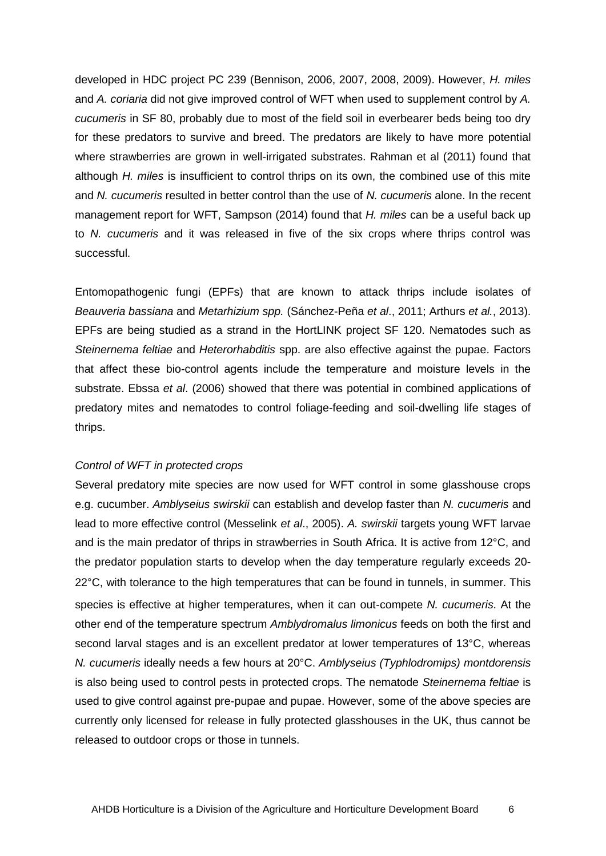developed in HDC project PC 239 (Bennison, 2006, 2007, 2008, 2009). However, *H. miles* and *A. coriaria* did not give improved control of WFT when used to supplement control by *A. cucumeris* in SF 80, probably due to most of the field soil in everbearer beds being too dry for these predators to survive and breed. The predators are likely to have more potential where strawberries are grown in well-irrigated substrates. Rahman et al (2011) found that although *H. miles* is insufficient to control thrips on its own, the combined use of this mite and *N. cucumeris* resulted in better control than the use of *N. cucumeris* alone. In the recent management report for WFT, Sampson (2014) found that *H. miles* can be a useful back up to *N. cucumeris* and it was released in five of the six crops where thrips control was successful.

Entomopathogenic fungi (EPFs) that are known to attack thrips include isolates of *Beauveria bassiana* and *Metarhizium spp.* (Sánchez-Peña *et al*., 2011; Arthurs *et al.*, 2013). EPFs are being studied as a strand in the HortLINK project SF 120. Nematodes such as *Steinernema feltiae* and *Heterorhabditis* spp. are also effective against the pupae. Factors that affect these bio-control agents include the temperature and moisture levels in the substrate. Ebssa *et al*. (2006) showed that there was potential in combined applications of predatory mites and nematodes to control foliage-feeding and soil-dwelling life stages of thrips.

#### *Control of WFT in protected crops*

Several predatory mite species are now used for WFT control in some glasshouse crops e.g. cucumber. *Amblyseius swirskii* can establish and develop faster than *N. cucumeris* and lead to more effective control (Messelink *et al*., 2005). *A. swirskii* targets young WFT larvae and is the main predator of thrips in strawberries in South Africa. It is active from 12°C, and the predator population starts to develop when the day temperature regularly exceeds 20- 22°C, with tolerance to the high temperatures that can be found in tunnels, in summer. This species is effective at higher temperatures, when it can out-compete *N. cucumeris*. At the other end of the temperature spectrum *Amblydromalus limonicus* feeds on both the first and second larval stages and is an excellent predator at lower temperatures of 13°C, whereas *N. cucumeris* ideally needs a few hours at 20°C. *Amblyseius (Typhlodromips) montdorensis* is also being used to control pests in protected crops. The nematode *Steinernema feltiae* is used to give control against pre-pupae and pupae. However, some of the above species are currently only licensed for release in fully protected glasshouses in the UK, thus cannot be released to outdoor crops or those in tunnels.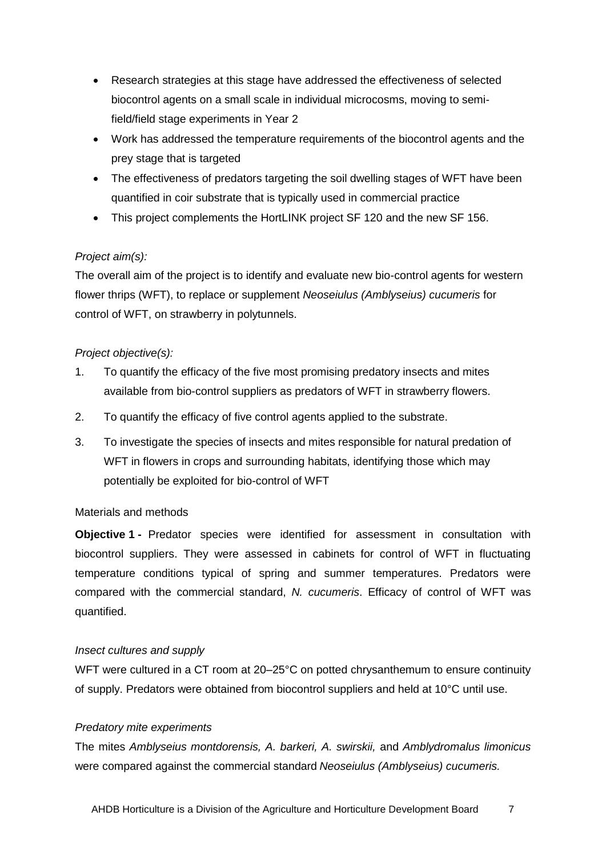- Research strategies at this stage have addressed the effectiveness of selected biocontrol agents on a small scale in individual microcosms, moving to semifield/field stage experiments in Year 2
- Work has addressed the temperature requirements of the biocontrol agents and the prey stage that is targeted
- The effectiveness of predators targeting the soil dwelling stages of WFT have been quantified in coir substrate that is typically used in commercial practice
- This project complements the HortLINK project SF 120 and the new SF 156.

## *Project aim(s):*

The overall aim of the project is to identify and evaluate new bio-control agents for western flower thrips (WFT), to replace or supplement *Neoseiulus (Amblyseius) cucumeris* for control of WFT, on strawberry in polytunnels.

## *Project objective(s):*

- 1. To quantify the efficacy of the five most promising predatory insects and mites available from bio-control suppliers as predators of WFT in strawberry flowers.
- 2. To quantify the efficacy of five control agents applied to the substrate.
- 3. To investigate the species of insects and mites responsible for natural predation of WFT in flowers in crops and surrounding habitats, identifying those which may potentially be exploited for bio-control of WFT

## <span id="page-10-1"></span><span id="page-10-0"></span>Materials and methods

**Objective 1 -** Predator species were identified for assessment in consultation with biocontrol suppliers. They were assessed in cabinets for control of WFT in fluctuating temperature conditions typical of spring and summer temperatures. Predators were compared with the commercial standard, *N. cucumeris*. Efficacy of control of WFT was quantified.

## *Insect cultures and supply*

WFT were cultured in a CT room at 20–25<sup>o</sup>C on potted chrysanthemum to ensure continuity of supply. Predators were obtained from biocontrol suppliers and held at 10°C until use.

## *Predatory mite experiments*

The mites *Amblyseius montdorensis, A. barkeri, A. swirskii,* and *Amblydromalus limonicus*  were compared against the commercial standard *Neoseiulus (Amblyseius) cucumeris.*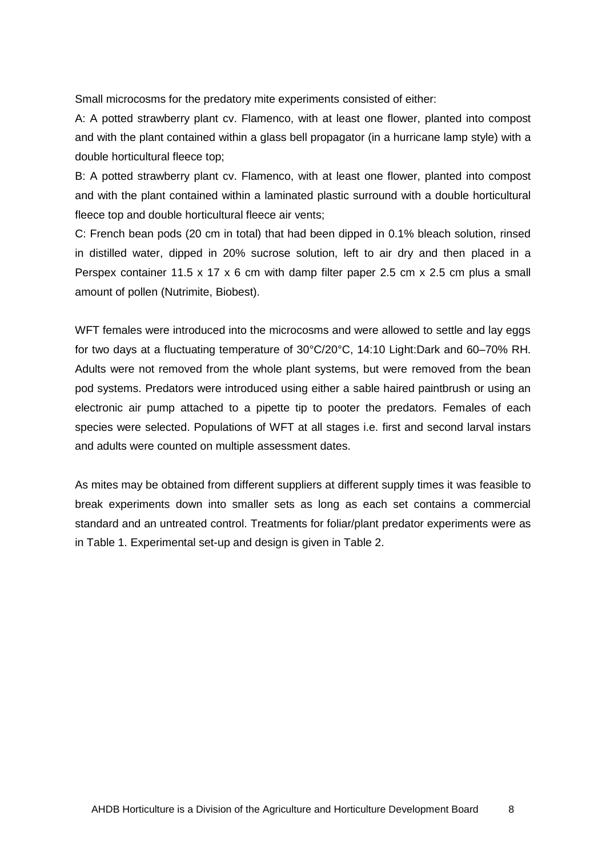Small microcosms for the predatory mite experiments consisted of either:

A: A potted strawberry plant cv. Flamenco, with at least one flower, planted into compost and with the plant contained within a glass bell propagator (in a hurricane lamp style) with a double horticultural fleece top;

B: A potted strawberry plant cv. Flamenco, with at least one flower, planted into compost and with the plant contained within a laminated plastic surround with a double horticultural fleece top and double horticultural fleece air vents;

C: French bean pods (20 cm in total) that had been dipped in 0.1% bleach solution, rinsed in distilled water, dipped in 20% sucrose solution, left to air dry and then placed in a Perspex container 11.5 x 17 x 6 cm with damp filter paper 2.5 cm x 2.5 cm plus a small amount of pollen (Nutrimite, Biobest).

WFT females were introduced into the microcosms and were allowed to settle and lay eggs for two days at a fluctuating temperature of 30°C/20°C, 14:10 Light:Dark and 60–70% RH. Adults were not removed from the whole plant systems, but were removed from the bean pod systems. Predators were introduced using either a sable haired paintbrush or using an electronic air pump attached to a pipette tip to pooter the predators. Females of each species were selected. Populations of WFT at all stages i.e. first and second larval instars and adults were counted on multiple assessment dates.

As mites may be obtained from different suppliers at different supply times it was feasible to break experiments down into smaller sets as long as each set contains a commercial standard and an untreated control. Treatments for foliar/plant predator experiments were as in Table 1. Experimental set-up and design is given in Table 2.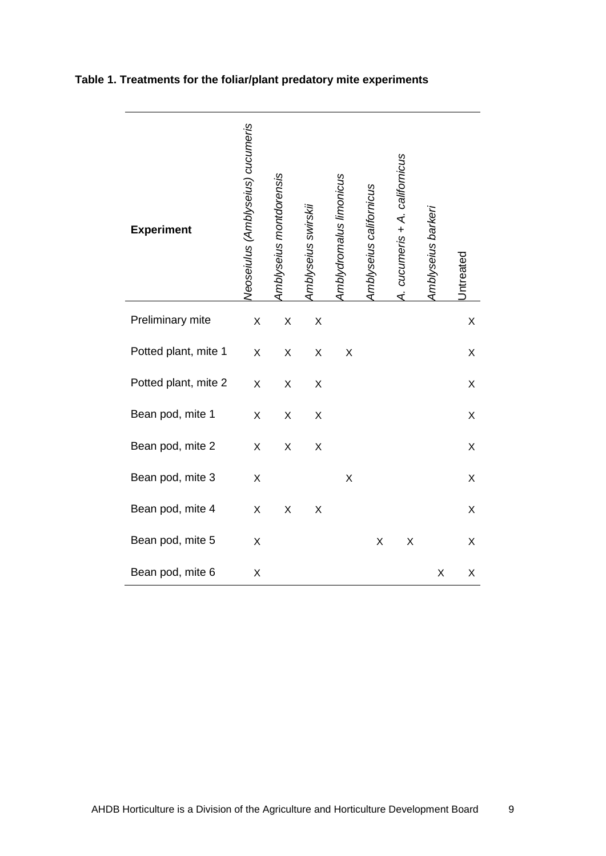| <b>Experiment</b>    | Neoseiulus (Amblyseius) cucumeris | Amblyseius montdorensis | Amblyseius swirskii | Amblydromalus limonicus | Amblyseius californicus | A. cucumeris + A. californicus | Amblyseius barkeri | Intreated |
|----------------------|-----------------------------------|-------------------------|---------------------|-------------------------|-------------------------|--------------------------------|--------------------|-----------|
| Preliminary mite     | X                                 | X                       | X                   |                         |                         |                                |                    | Χ         |
| Potted plant, mite 1 | X                                 | X                       | Χ                   | X                       |                         |                                |                    | Χ         |
| Potted plant, mite 2 | X                                 | X                       | X                   |                         |                         |                                |                    | X         |
| Bean pod, mite 1     | X                                 | X                       | X                   |                         |                         |                                |                    | Χ         |
| Bean pod, mite 2     | X                                 | X                       | X                   |                         |                         |                                |                    | X         |
| Bean pod, mite 3     | X                                 |                         |                     | X                       |                         |                                |                    | Χ         |
| Bean pod, mite 4     | X                                 | X                       | X                   |                         |                         |                                |                    | Χ         |
| Bean pod, mite 5     | X                                 |                         |                     |                         | X                       | X                              |                    | Χ         |
| Bean pod, mite 6     | Χ                                 |                         |                     |                         |                         |                                | X                  | Χ         |

## **Table 1. Treatments for the foliar/plant predatory mite experiments**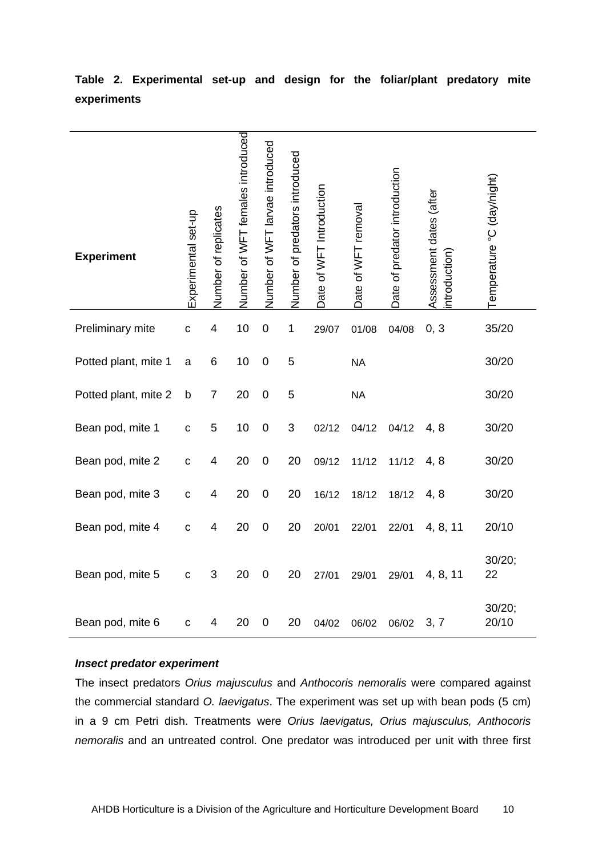| <b>Experiment</b>    | Experimental set-up | Number of replicates | Number of WFT females introduced | Number of WFT larvae introduced | Number of predators introduced | Date of WFT Introduction | Date of WFT removal | Date of predator introduction | Assessment dates (after<br>ntroduction | Temperature °C (day/night) |
|----------------------|---------------------|----------------------|----------------------------------|---------------------------------|--------------------------------|--------------------------|---------------------|-------------------------------|----------------------------------------|----------------------------|
| Preliminary mite     | $\mathbf c$         | 4                    | 10                               | $\pmb{0}$                       | $\mathbf 1$                    | 29/07                    | 01/08               | 04/08                         | 0, 3                                   | 35/20                      |
| Potted plant, mite 1 | a                   | 6                    | 10                               | $\mathbf 0$                     | 5                              |                          | <b>NA</b>           |                               |                                        | 30/20                      |
| Potted plant, mite 2 | b                   | 7                    | 20                               | $\mathbf 0$                     | 5                              |                          | <b>NA</b>           |                               |                                        | 30/20                      |
| Bean pod, mite 1     | $\mathbf c$         | 5                    | 10                               | 0                               | 3                              | 02/12                    | 04/12               | 04/12                         | 4, 8                                   | 30/20                      |
| Bean pod, mite 2     | C                   | 4                    | 20                               | $\mathbf 0$                     | 20                             | 09/12                    | 11/12               | 11/12                         | 4, 8                                   | 30/20                      |
| Bean pod, mite 3     | $\mathbf C$         | 4                    | 20                               | $\boldsymbol{0}$                | 20                             | 16/12                    | 18/12               | 18/12                         | 4, 8                                   | 30/20                      |
| Bean pod, mite 4     | $\mathbf c$         | 4                    | 20                               | $\mathbf 0$                     | 20                             | 20/01                    | 22/01               | 22/01                         | 4, 8, 11                               | 20/10                      |
| Bean pod, mite 5     | $\mathbf c$         | 3                    | 20                               | $\mathbf 0$                     | 20                             | 27/01                    | 29/01               | 29/01                         | 4, 8, 11                               | 30/20;<br>22               |
| Bean pod, mite 6     | $\mathbf c$         | 4                    | 20                               | $\mathbf 0$                     | 20                             | 04/02                    | 06/02               | 06/02                         | 3, 7                                   | 30/20;<br>20/10            |

**Table 2. Experimental set-up and design for the foliar/plant predatory mite experiments**

#### *Insect predator experiment*

The insect predators *Orius majusculus* and *Anthocoris nemoralis* were compared against the commercial standard *O. laevigatus*. The experiment was set up with bean pods (5 cm) in a 9 cm Petri dish. Treatments were *Orius laevigatus, Orius majusculus, Anthocoris nemoralis* and an untreated control. One predator was introduced per unit with three first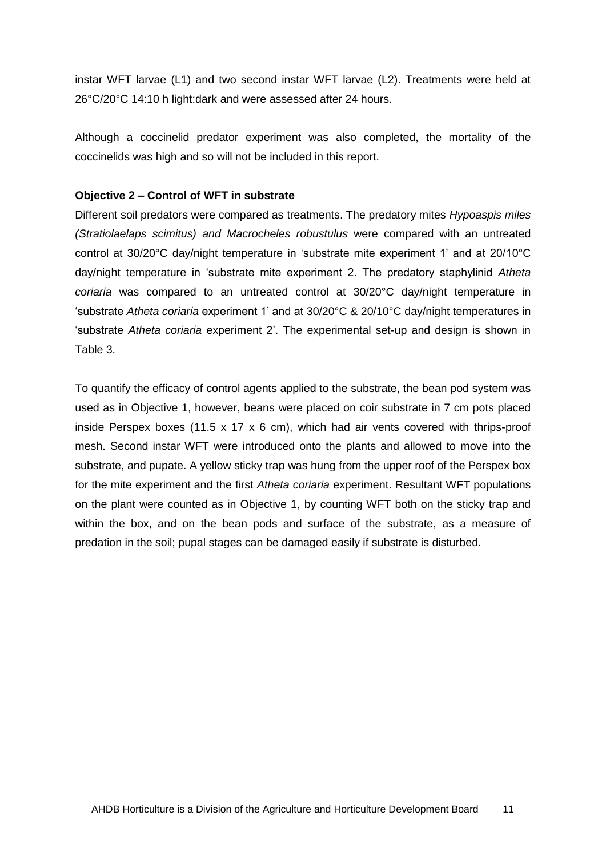instar WFT larvae (L1) and two second instar WFT larvae (L2). Treatments were held at 26°C/20°C 14:10 h light:dark and were assessed after 24 hours.

Although a coccinelid predator experiment was also completed, the mortality of the coccinelids was high and so will not be included in this report.

#### **Objective 2 – Control of WFT in substrate**

Different soil predators were compared as treatments. The predatory mites *Hypoaspis miles (Stratiolaelaps scimitus) and Macrocheles robustulus* were compared with an untreated control at 30/20°C day/night temperature in 'substrate mite experiment 1' and at 20/10°C day/night temperature in 'substrate mite experiment 2. The predatory staphylinid *Atheta coriaria* was compared to an untreated control at 30/20°C day/night temperature in 'substrate *Atheta coriaria* experiment 1' and at 30/20°C & 20/10°C day/night temperatures in 'substrate *Atheta coriaria* experiment 2'. The experimental set-up and design is shown in Table 3.

To quantify the efficacy of control agents applied to the substrate, the bean pod system was used as in Objective 1, however, beans were placed on coir substrate in 7 cm pots placed inside Perspex boxes (11.5 x 17 x 6 cm), which had air vents covered with thrips-proof mesh. Second instar WFT were introduced onto the plants and allowed to move into the substrate, and pupate. A yellow sticky trap was hung from the upper roof of the Perspex box for the mite experiment and the first *Atheta coriaria* experiment. Resultant WFT populations on the plant were counted as in Objective 1, by counting WFT both on the sticky trap and within the box, and on the bean pods and surface of the substrate, as a measure of predation in the soil; pupal stages can be damaged easily if substrate is disturbed.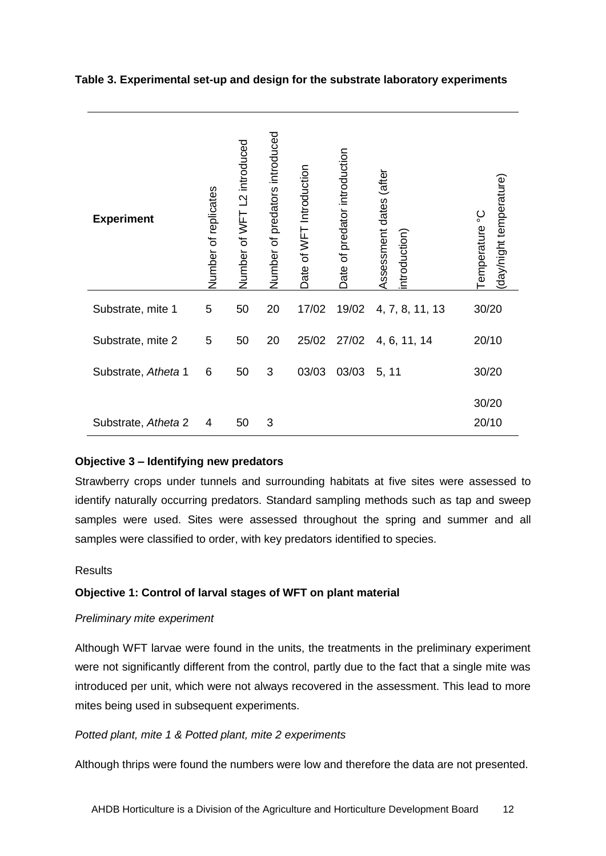#### **Table 3. Experimental set-up and design for the substrate laboratory experiments**

| <b>Experiment</b>   | Number of replicates | L2 introduced<br>Number of WFT | Number of predators introduced | Date of WFT Introduction | predator introduction<br>৳<br>Date | (after<br>Assessment dates<br>introduction | (day/night temperature)<br>Temperature °C |
|---------------------|----------------------|--------------------------------|--------------------------------|--------------------------|------------------------------------|--------------------------------------------|-------------------------------------------|
| Substrate, mite 1   | 5                    | 50                             | 20                             | 17/02                    | 19/02                              | 4, 7, 8, 11, 13                            | 30/20                                     |
| Substrate, mite 2   | 5                    | 50                             | 20                             | 25/02                    | 27/02                              | 4, 6, 11, 14                               | 20/10                                     |
| Substrate, Atheta 1 | 6                    | 50                             | 3                              | 03/03                    | 03/03                              | 5, 11                                      | 30/20                                     |
| Substrate, Atheta 2 | 4                    | 50                             | 3                              |                          |                                    |                                            | 30/20<br>20/10                            |

#### **Objective 3 – Identifying new predators**

Strawberry crops under tunnels and surrounding habitats at five sites were assessed to identify naturally occurring predators. Standard sampling methods such as tap and sweep samples were used. Sites were assessed throughout the spring and summer and all samples were classified to order, with key predators identified to species.

#### <span id="page-15-0"></span>**Results**

## **Objective 1: Control of larval stages of WFT on plant material**

#### *Preliminary mite experiment*

Although WFT larvae were found in the units, the treatments in the preliminary experiment were not significantly different from the control, partly due to the fact that a single mite was introduced per unit, which were not always recovered in the assessment. This lead to more mites being used in subsequent experiments.

## *Potted plant, mite 1 & Potted plant, mite 2 experiments*

Although thrips were found the numbers were low and therefore the data are not presented.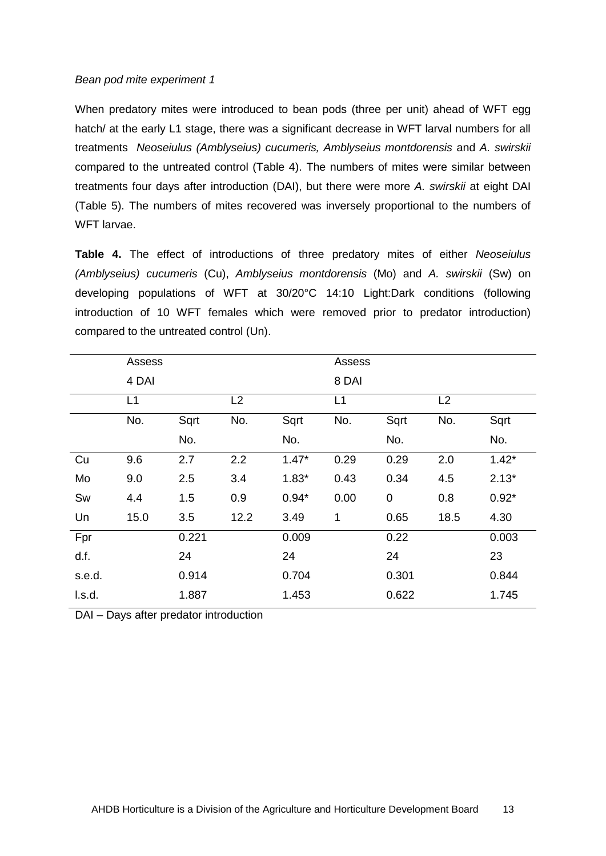#### *Bean pod mite experiment 1*

When predatory mites were introduced to bean pods (three per unit) ahead of WFT egg hatch/ at the early L1 stage, there was a significant decrease in WFT larval numbers for all treatments *Neoseiulus (Amblyseius) cucumeris, Amblyseius montdorensis* and *A. swirskii* compared to the untreated control (Table 4). The numbers of mites were similar between treatments four days after introduction (DAI), but there were more *A. swirskii* at eight DAI (Table 5). The numbers of mites recovered was inversely proportional to the numbers of WFT larvae.

**Table 4.** The effect of introductions of three predatory mites of either *Neoseiulus (Amblyseius) cucumeris* (Cu), *Amblyseius montdorensis* (Mo) and *A. swirskii* (Sw) on developing populations of WFT at 30/20°C 14:10 Light:Dark conditions (following introduction of 10 WFT females which were removed prior to predator introduction) compared to the untreated control (Un).

|        | Assess |       |      |         | Assess |       |      |         |
|--------|--------|-------|------|---------|--------|-------|------|---------|
|        | 4 DAI  |       |      |         | 8 DAI  |       |      |         |
|        | L1     |       | L2   |         | L1     |       | L2   |         |
|        | No.    | Sqrt  | No.  | Sqrt    | No.    | Sqrt  | No.  | Sqrt    |
|        |        | No.   |      | No.     |        | No.   |      | No.     |
| Cu     | 9.6    | 2.7   | 2.2  | $1.47*$ | 0.29   | 0.29  | 2.0  | $1.42*$ |
| Mo     | 9.0    | 2.5   | 3.4  | $1.83*$ | 0.43   | 0.34  | 4.5  | $2.13*$ |
| Sw     | 4.4    | 1.5   | 0.9  | $0.94*$ | 0.00   | 0     | 0.8  | $0.92*$ |
| Un     | 15.0   | 3.5   | 12.2 | 3.49    | 1      | 0.65  | 18.5 | 4.30    |
| Fpr    |        | 0.221 |      | 0.009   |        | 0.22  |      | 0.003   |
| d.f.   |        | 24    |      | 24      |        | 24    |      | 23      |
| s.e.d. |        | 0.914 |      | 0.704   |        | 0.301 |      | 0.844   |
| I.s.d. |        | 1.887 |      | 1.453   |        | 0.622 |      | 1.745   |

DAI – Days after predator introduction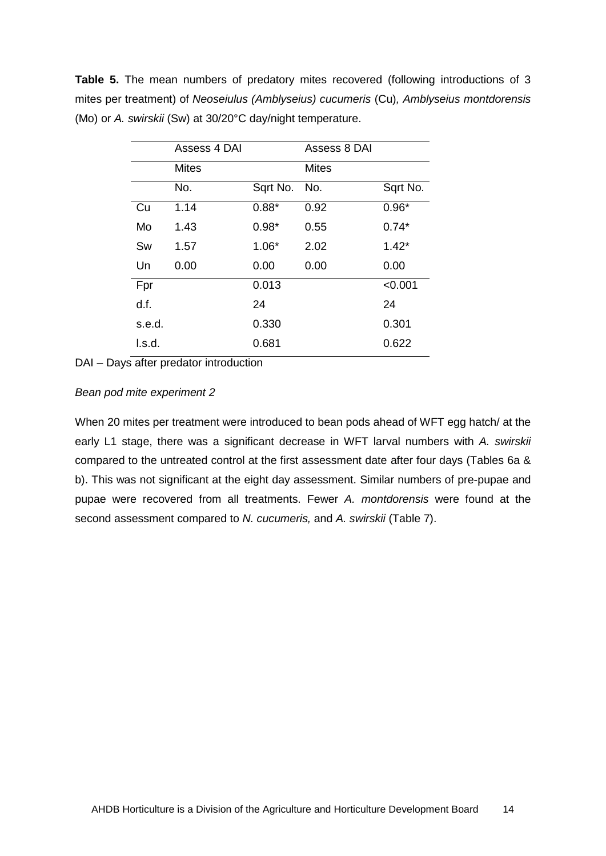**Table 5.** The mean numbers of predatory mites recovered (following introductions of 3 mites per treatment) of *Neoseiulus (Amblyseius) cucumeris* (Cu)*, Amblyseius montdorensis*  (Mo) or *A. swirskii* (Sw) at 30/20°C day/night temperature.

|        | Assess 4 DAI |          | Assess 8 DAI |          |
|--------|--------------|----------|--------------|----------|
|        | Mites        |          | <b>Mites</b> |          |
|        | No.          | Sqrt No. | No.          | Sqrt No. |
| Cu     | 1.14         | $0.88*$  | 0.92         | $0.96*$  |
| Mo     | 1.43         | $0.98*$  | 0.55         | $0.74*$  |
| Sw     | 1.57         | $1.06*$  | 2.02         | $1.42*$  |
| Un     | 0.00         | 0.00     | 0.00         | 0.00     |
| Fpr    |              | 0.013    |              | < 0.001  |
| d.f.   |              | 24       |              | 24       |
| s.e.d. |              | 0.330    |              | 0.301    |
| l.s.d. |              | 0.681    |              | 0.622    |

DAI – Days after predator introduction

#### *Bean pod mite experiment 2*

When 20 mites per treatment were introduced to bean pods ahead of WFT egg hatch/ at the early L1 stage, there was a significant decrease in WFT larval numbers with *A. swirskii* compared to the untreated control at the first assessment date after four days (Tables 6a & b). This was not significant at the eight day assessment. Similar numbers of pre-pupae and pupae were recovered from all treatments. Fewer *A. montdorensis* were found at the second assessment compared to *N. cucumeris,* and *A. swirskii* (Table 7).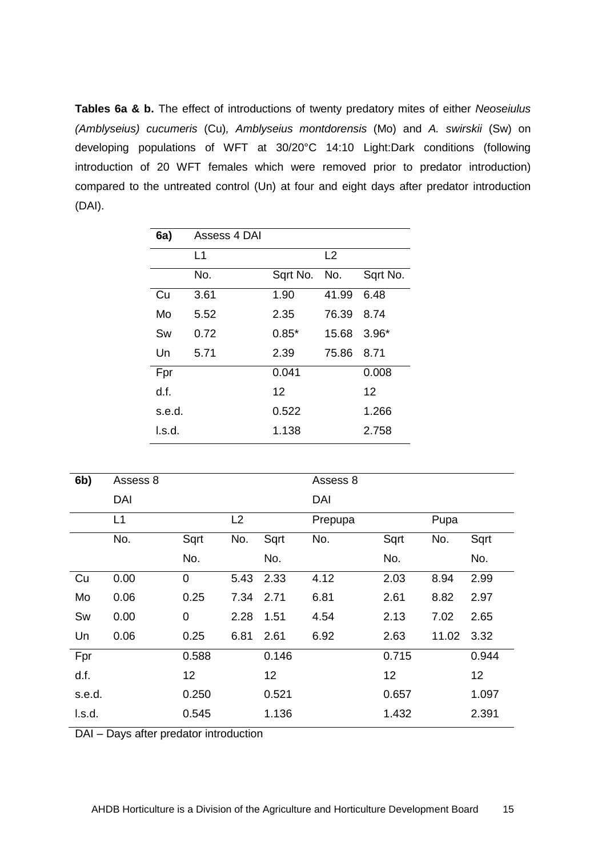**Tables 6a & b.** The effect of introductions of twenty predatory mites of either *Neoseiulus (Amblyseius) cucumeris* (Cu)*, Amblyseius montdorensis* (Mo) and *A. swirskii* (Sw) on developing populations of WFT at 30/20°C 14:10 Light:Dark conditions (following introduction of 20 WFT females which were removed prior to predator introduction) compared to the untreated control (Un) at four and eight days after predator introduction (DAI).

| 6a)    | Assess 4 DAI |          |       |          |
|--------|--------------|----------|-------|----------|
|        | L1           |          | L2    |          |
|        | No.          | Sqrt No. | No.   | Sqrt No. |
| Cu     | 3.61         | 1.90     | 41.99 | 6.48     |
| Mo     | 5.52         | 2.35     | 76.39 | 8.74     |
| Sw     | 0.72         | $0.85*$  | 15.68 | $3.96*$  |
| Un     | 5.71         | 2.39     | 75.86 | 8.71     |
| Fpr    |              | 0.041    |       | 0.008    |
| d.f.   |              | 12       |       | 12       |
| s.e.d. |              | 0.522    |       | 1.266    |
| l.s.d. |              | 1.138    |       | 2.758    |

| 6b)    | Assess 8 |                |      |       | Assess 8 |       |       |       |
|--------|----------|----------------|------|-------|----------|-------|-------|-------|
|        | DAI      |                |      |       | DAI      |       |       |       |
|        | L1       |                | L2   |       | Prepupa  |       | Pupa  |       |
|        | No.      | Sqrt           | No.  | Sqrt  | No.      | Sqrt  | No.   | Sqrt  |
|        |          | No.            |      | No.   |          | No.   |       | No.   |
| Cu     | 0.00     | $\overline{0}$ | 5.43 | 2.33  | 4.12     | 2.03  | 8.94  | 2.99  |
| Mo     | 0.06     | 0.25           | 7.34 | 2.71  | 6.81     | 2.61  | 8.82  | 2.97  |
| Sw     | 0.00     | $\mathbf 0$    | 2.28 | 1.51  | 4.54     | 2.13  | 7.02  | 2.65  |
| Un     | 0.06     | 0.25           | 6.81 | 2.61  | 6.92     | 2.63  | 11.02 | 3.32  |
| Fpr    |          | 0.588          |      | 0.146 |          | 0.715 |       | 0.944 |
| d.f.   |          | 12             |      | 12    |          | 12    |       | 12    |
| s.e.d. |          | 0.250          |      | 0.521 |          | 0.657 |       | 1.097 |
| I.s.d. |          | 0.545          |      | 1.136 |          | 1.432 |       | 2.391 |

DAI – Days after predator introduction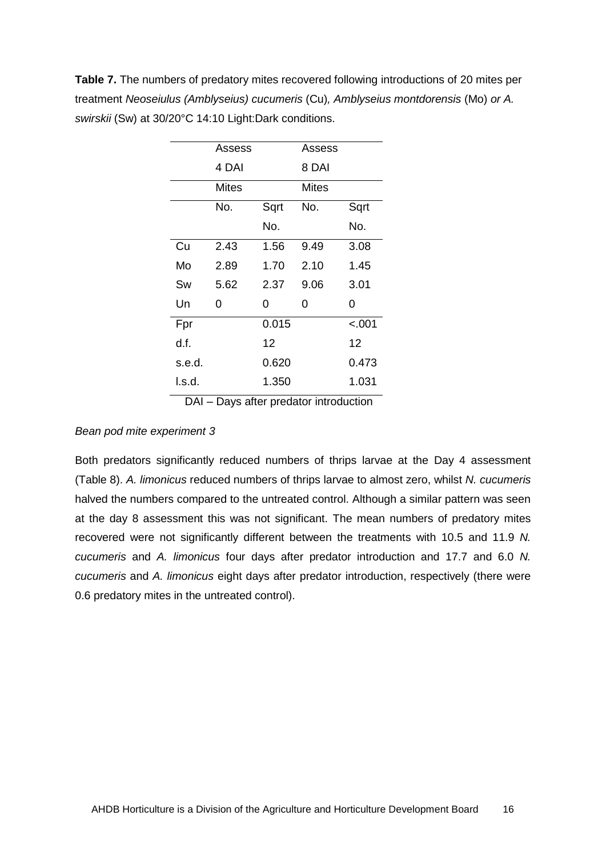**Table 7.** The numbers of predatory mites recovered following introductions of 20 mites per treatment *Neoseiulus (Amblyseius) cucumeris* (Cu)*, Amblyseius montdorensis* (Mo) *or A. swirskii* (Sw) at 30/20°C 14:10 Light:Dark conditions.

|        | Assess |       | Assess |        |
|--------|--------|-------|--------|--------|
|        | 4 DAI  |       | 8 DAI  |        |
|        | Mites  |       | Mites  |        |
|        | No.    | Sqrt  | No.    | Sqrt   |
|        |        | No.   |        | No.    |
| Cu     | 2.43   | 1.56  | 9.49   | 3.08   |
| Mo     | 2.89   | 1.70  | 2.10   | 1.45   |
| Sw     | 5.62   | 2.37  | 9.06   | 3.01   |
| Un     | 0      | 0     | 0      | 0      |
| Fpr    |        | 0.015 |        | < .001 |
| d.f.   |        | 12    |        | 12     |
| s.e.d. |        | 0.620 |        | 0.473  |
| l.s.d. |        | 1.350 |        | 1.031  |

DAI – Days after predator introduction

#### *Bean pod mite experiment 3*

Both predators significantly reduced numbers of thrips larvae at the Day 4 assessment (Table 8). *A. limonicus* reduced numbers of thrips larvae to almost zero, whilst *N. cucumeris* halved the numbers compared to the untreated control. Although a similar pattern was seen at the day 8 assessment this was not significant. The mean numbers of predatory mites recovered were not significantly different between the treatments with 10.5 and 11.9 *N. cucumeris* and *A. limonicus* four days after predator introduction and 17.7 and 6.0 *N. cucumeris* and *A. limonicus* eight days after predator introduction, respectively (there were 0.6 predatory mites in the untreated control).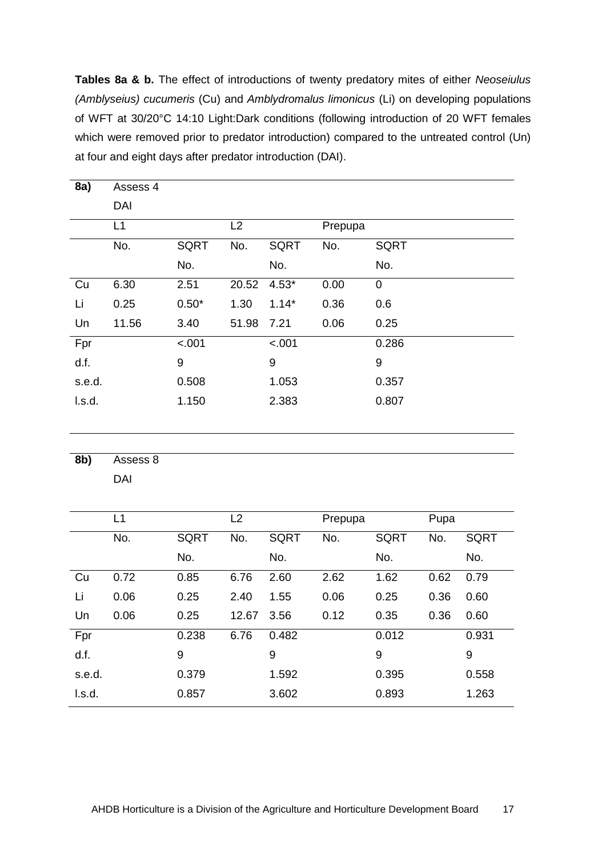**Tables 8a & b.** The effect of introductions of twenty predatory mites of either *Neoseiulus (Amblyseius) cucumeris* (Cu) and *Amblydromalus limonicus* (Li) on developing populations of WFT at 30/20°C 14:10 Light:Dark conditions (following introduction of 20 WFT females which were removed prior to predator introduction) compared to the untreated control (Un) at four and eight days after predator introduction (DAI).

| 8a)    | Assess 4 |             |       |             |         |             |
|--------|----------|-------------|-------|-------------|---------|-------------|
|        | DAI      |             |       |             |         |             |
|        | L1       |             | L2    |             | Prepupa |             |
|        | No.      | <b>SQRT</b> | No.   | <b>SQRT</b> | No.     | <b>SQRT</b> |
|        |          | No.         |       | No.         |         | No.         |
| Cu     | 6.30     | 2.51        | 20.52 | $4.53*$     | 0.00    | $\pmb{0}$   |
| Li     | 0.25     | $0.50*$     | 1.30  | $1.14*$     | 0.36    | 0.6         |
| Un     | 11.56    | 3.40        | 51.98 | 7.21        | 0.06    | 0.25        |
| Fpr    |          | $-.001$     |       | < .001      |         | 0.286       |
| d.f.   |          | 9           |       | 9           |         | 9           |
| s.e.d. |          | 0.508       |       | 1.053       |         | 0.357       |
| l.s.d. |          | 1.150       |       | 2.383       |         | 0.807       |
|        |          |             |       |             |         |             |

**8b)** Assess 8 DAI

|        | L1   |             | L2    |             | Prepupa |             | Pupa |             |
|--------|------|-------------|-------|-------------|---------|-------------|------|-------------|
|        | No.  | <b>SQRT</b> | No.   | <b>SQRT</b> | No.     | <b>SQRT</b> | No.  | <b>SQRT</b> |
|        |      | No.         |       | No.         |         | No.         |      | No.         |
| Cu     | 0.72 | 0.85        | 6.76  | 2.60        | 2.62    | 1.62        | 0.62 | 0.79        |
| Li     | 0.06 | 0.25        | 2.40  | 1.55        | 0.06    | 0.25        | 0.36 | 0.60        |
| Un     | 0.06 | 0.25        | 12.67 | 3.56        | 0.12    | 0.35        | 0.36 | 0.60        |
| Fpr    |      | 0.238       | 6.76  | 0.482       |         | 0.012       |      | 0.931       |
| d.f.   |      | 9           |       | 9           |         | 9           |      | 9           |
| s.e.d. |      | 0.379       |       | 1.592       |         | 0.395       |      | 0.558       |
| l.s.d. |      | 0.857       |       | 3.602       |         | 0.893       |      | 1.263       |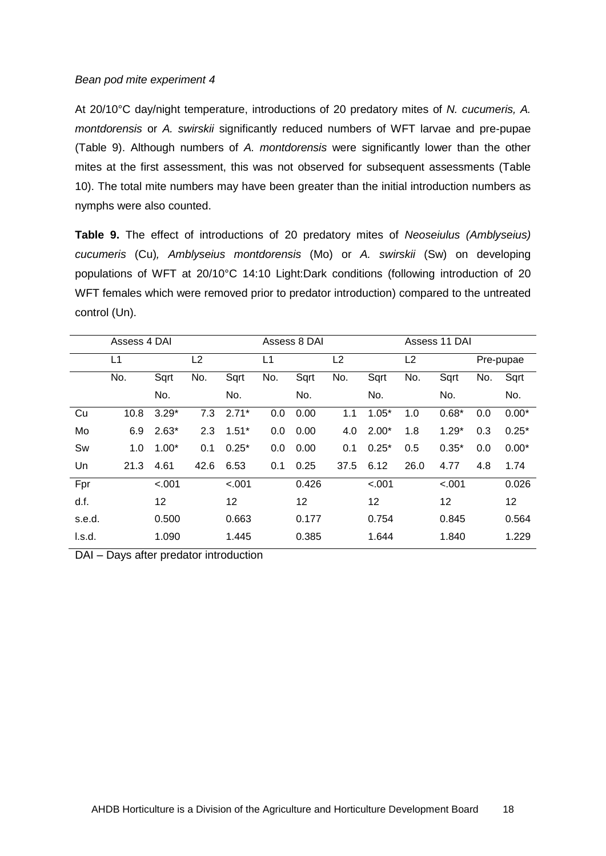#### *Bean pod mite experiment 4*

At 20/10°C day/night temperature, introductions of 20 predatory mites of *N. cucumeris, A. montdorensis* or *A. swirskii* significantly reduced numbers of WFT larvae and pre-pupae (Table 9). Although numbers of *A. montdorensis* were significantly lower than the other mites at the first assessment, this was not observed for subsequent assessments (Table 10). The total mite numbers may have been greater than the initial introduction numbers as nymphs were also counted.

**Table 9.** The effect of introductions of 20 predatory mites of *Neoseiulus (Amblyseius) cucumeris* (Cu)*, Amblyseius montdorensis* (Mo) or *A. swirskii* (Sw) on developing populations of WFT at 20/10°C 14:10 Light:Dark conditions (following introduction of 20 WFT females which were removed prior to predator introduction) compared to the untreated control (Un).

|        | Assess 4 DAI |         |                | Assess 8 DAI |     |       |                | Assess 11 DAI |      |         |     |           |
|--------|--------------|---------|----------------|--------------|-----|-------|----------------|---------------|------|---------|-----|-----------|
|        | L1           |         | L <sub>2</sub> |              | L1  |       | L <sub>2</sub> |               | L2   |         |     | Pre-pupae |
|        | No.          | Sqrt    | No.            | Sqrt         | No. | Sqrt  | No.            | Sqrt          | No.  | Sqrt    | No. | Sqrt      |
|        |              | No.     |                | No.          |     | No.   |                | No.           |      | No.     |     | No.       |
| Cu     | 10.8         | $3.29*$ | 7.3            | $2.71*$      | 0.0 | 0.00  | 1.1            | $1.05*$       | 1.0  | $0.68*$ | 0.0 | $0.00*$   |
| Mo     | 6.9          | $2.63*$ | 2.3            | $1.51*$      | 0.0 | 0.00  | 4.0            | $2.00*$       | 1.8  | $1.29*$ | 0.3 | $0.25*$   |
| Sw     | 1.0          | $1.00*$ | 0.1            | $0.25*$      | 0.0 | 0.00  | 0.1            | $0.25*$       | 0.5  | $0.35*$ | 0.0 | $0.00*$   |
| Un     | 21.3         | 4.61    | 42.6           | 6.53         | 0.1 | 0.25  | 37.5           | 6.12          | 26.0 | 4.77    | 4.8 | 1.74      |
| Fpr    |              | < .001  |                | < .001       |     | 0.426 |                | < .001        |      | $-.001$ |     | 0.026     |
| d.f.   |              | 12      |                | 12           |     | 12    |                | 12            |      | 12      |     | 12        |
| s.e.d. |              | 0.500   |                | 0.663        |     | 0.177 |                | 0.754         |      | 0.845   |     | 0.564     |
| l.s.d. |              | 1.090   |                | 1.445        |     | 0.385 |                | 1.644         |      | 1.840   |     | 1.229     |

DAI – Days after predator introduction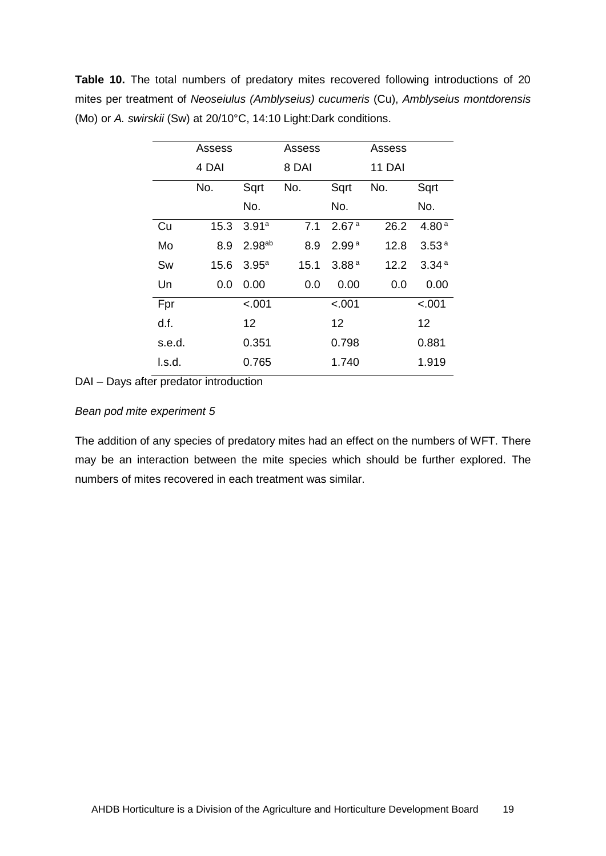**Table 10.** The total numbers of predatory mites recovered following introductions of 20 mites per treatment of *Neoseiulus (Amblyseius) cucumeris* (Cu), *Amblyseius montdorensis* (Mo) or *A. swirskii* (Sw) at 20/10°C, 14:10 Light:Dark conditions.

|        | Assess |                    | Assess |                   | Assess        |                   |
|--------|--------|--------------------|--------|-------------------|---------------|-------------------|
|        | 4 DAI  |                    | 8 DAI  |                   | <b>11 DAI</b> |                   |
|        | No.    | Sqrt               | No.    | Sqrt              | No.           | Sqrt              |
|        |        | No.                |        | No.               |               | No.               |
| Cu     | 15.3   | 3.91a              | 7.1    | 2.67 <sup>a</sup> | 26.2          | 4.80 <sup>a</sup> |
| Mo     | 8.9    | 2.98 <sup>ab</sup> | 8.9    | 2.99 <sup>a</sup> | 12.8          | 3.53 <sup>a</sup> |
| Sw     | 15.6   | 3.95 <sup>a</sup>  | 15.1   | 3.88 <sup>a</sup> | 12.2          | 3.34 <sup>a</sup> |
| Un     | 0.0    | 0.00               | 0.0    | 0.00              | 0.0           | 0.00              |
| Fpr    |        | $-.001$            |        | < .001            |               | < .001            |
| d.f.   |        | 12                 |        | 12                |               | 12                |
| s.e.d. |        | 0.351              |        | 0.798             |               | 0.881             |
| l.s.d. |        | 0.765              |        | 1.740             |               | 1.919             |

DAI – Days after predator introduction

#### *Bean pod mite experiment 5*

The addition of any species of predatory mites had an effect on the numbers of WFT. There may be an interaction between the mite species which should be further explored. The numbers of mites recovered in each treatment was similar.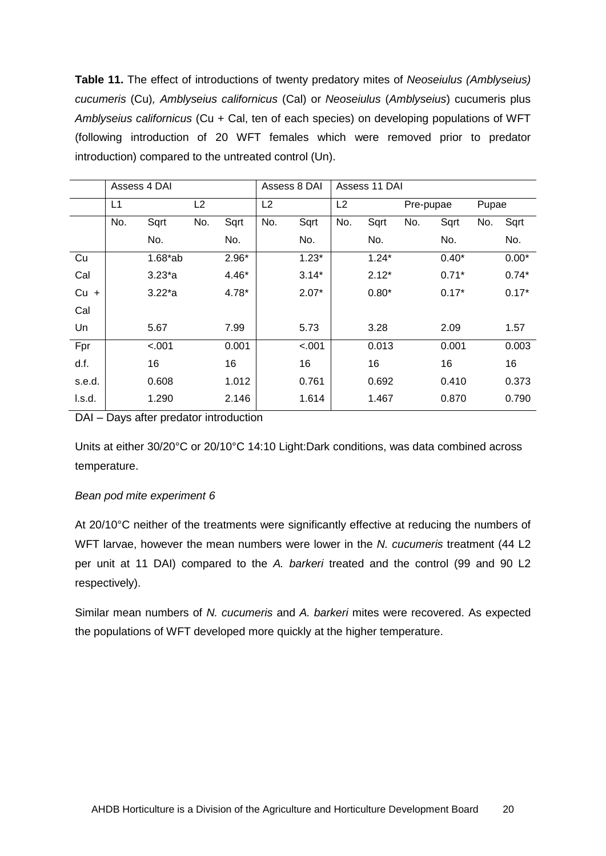**Table 11.** The effect of introductions of twenty predatory mites of *Neoseiulus (Amblyseius) cucumeris* (Cu)*, Amblyseius californicus* (Cal) or *Neoseiulus* (*Amblyseius*) cucumeris plus *Amblyseius californicus* (Cu + Cal, ten of each species) on developing populations of WFT (following introduction of 20 WFT females which were removed prior to predator introduction) compared to the untreated control (Un).

|        | Assess 4 DAI |             |     | Assess 8 DAI |     | Assess 11 DAI |     |         |           |         |       |         |
|--------|--------------|-------------|-----|--------------|-----|---------------|-----|---------|-----------|---------|-------|---------|
|        | L1           |             | L2  |              | L2  |               | L2  |         | Pre-pupae |         | Pupae |         |
|        | No.          | Sqrt        | No. | Sqrt         | No. | Sqrt          | No. | Sqrt    | No.       | Sqrt    | No.   | Sqrt    |
|        |              | No.         |     | No.          |     | No.           |     | No.     |           | No.     |       | No.     |
| Cu     |              | $1.68*ab$   |     | $2.96*$      |     | $1.23*$       |     | $1.24*$ |           | $0.40*$ |       | $0.00*$ |
| Cal    |              | $3.23^{*}a$ |     | $4.46*$      |     | $3.14*$       |     | $2.12*$ |           | $0.71*$ |       | $0.74*$ |
| $Cu +$ |              | $3.22^{*}a$ |     | 4.78*        |     | $2.07*$       |     | $0.80*$ |           | $0.17*$ |       | $0.17*$ |
| Cal    |              |             |     |              |     |               |     |         |           |         |       |         |
| Un     |              | 5.67        |     | 7.99         |     | 5.73          |     | 3.28    |           | 2.09    |       | 1.57    |
| Fpr    |              | $-.001$     |     | 0.001        |     | $-.001$       |     | 0.013   |           | 0.001   |       | 0.003   |
| d.f.   |              | 16          |     | 16           |     | 16            |     | 16      |           | 16      |       | 16      |
| s.e.d. |              | 0.608       |     | 1.012        |     | 0.761         |     | 0.692   |           | 0.410   |       | 0.373   |
| I.s.d. |              | 1.290       |     | 2.146        |     | 1.614         |     | 1.467   |           | 0.870   |       | 0.790   |

DAI – Days after predator introduction

Units at either 30/20°C or 20/10°C 14:10 Light:Dark conditions, was data combined across temperature.

## *Bean pod mite experiment 6*

At 20/10°C neither of the treatments were significantly effective at reducing the numbers of WFT larvae, however the mean numbers were lower in the *N. cucumeris* treatment (44 L2 per unit at 11 DAI) compared to the *A. barkeri* treated and the control (99 and 90 L2 respectively).

Similar mean numbers of *N. cucumeris* and *A. barkeri* mites were recovered. As expected the populations of WFT developed more quickly at the higher temperature.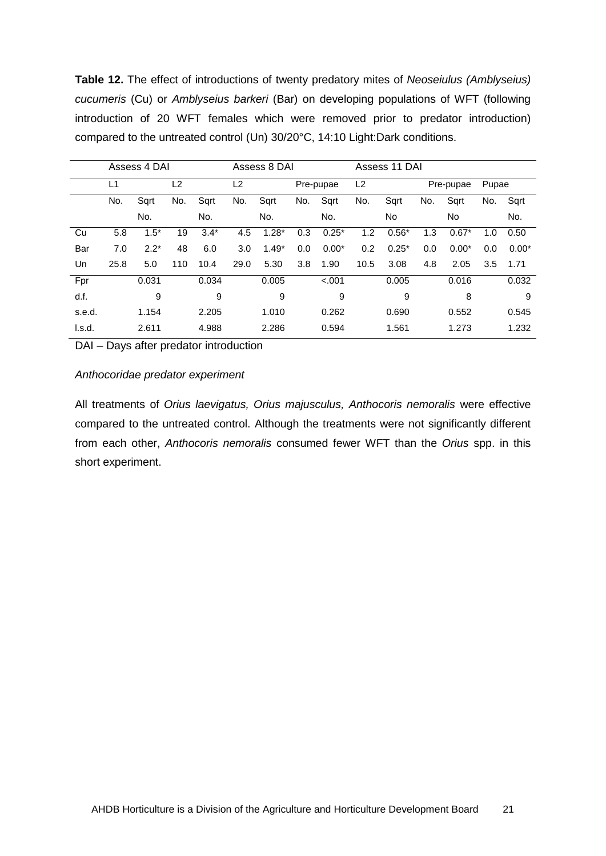**Table 12.** The effect of introductions of twenty predatory mites of *Neoseiulus (Amblyseius) cucumeris* (Cu) or *Amblyseius barkeri* (Bar) on developing populations of WFT (following introduction of 20 WFT females which were removed prior to predator introduction) compared to the untreated control (Un) 30/20°C, 14:10 Light:Dark conditions.

|        | Assess 4 DAI |        |     | Assess 8 DAI |                |         |     | Assess 11 DAI |      |         |     |           |       |         |
|--------|--------------|--------|-----|--------------|----------------|---------|-----|---------------|------|---------|-----|-----------|-------|---------|
|        | L1           |        | L2  |              | L <sub>2</sub> |         |     | Pre-pupae     | L2   |         |     | Pre-pupae | Pupae |         |
|        | No.          | Sqrt   | No. | Sqrt         | No.            | Sqrt    | No. | Sqrt          | No.  | Sqrt    | No. | Sqrt      | No.   | Sqrt    |
|        |              | No.    |     | No.          |                | No.     |     | No.           |      | No      |     | <b>No</b> |       | No.     |
| Cu     | 5.8          | $1.5*$ | 19  | $3.4*$       | 4.5            | $1.28*$ | 0.3 | $0.25*$       | 1.2  | $0.56*$ | 1.3 | $0.67*$   | 1.0   | 0.50    |
| Bar    | 7.0          | $2.2*$ | 48  | 6.0          | 3.0            | $1.49*$ | 0.0 | $0.00*$       | 0.2  | $0.25*$ | 0.0 | $0.00*$   | 0.0   | $0.00*$ |
| Un     | 25.8         | 5.0    | 110 | 10.4         | 29.0           | 5.30    | 3.8 | 1.90          | 10.5 | 3.08    | 4.8 | 2.05      | 3.5   | 1.71    |
| Fpr    |              | 0.031  |     | 0.034        |                | 0.005   |     | $-.001$       |      | 0.005   |     | 0.016     |       | 0.032   |
| d.f.   |              | 9      |     | 9            |                | 9       |     | 9             |      | 9       |     | 8         |       | 9       |
| s.e.d. |              | 1.154  |     | 2.205        |                | 1.010   |     | 0.262         |      | 0.690   |     | 0.552     |       | 0.545   |
| l.s.d. |              | 2.611  |     | 4.988        |                | 2.286   |     | 0.594         |      | 1.561   |     | 1.273     |       | 1.232   |

DAI – Days after predator introduction

#### *Anthocoridae predator experiment*

All treatments of *Orius laevigatus, Orius majusculus, Anthocoris nemoralis* were effective compared to the untreated control. Although the treatments were not significantly different from each other, *Anthocoris nemoralis* consumed fewer WFT than the *Orius* spp. in this short experiment.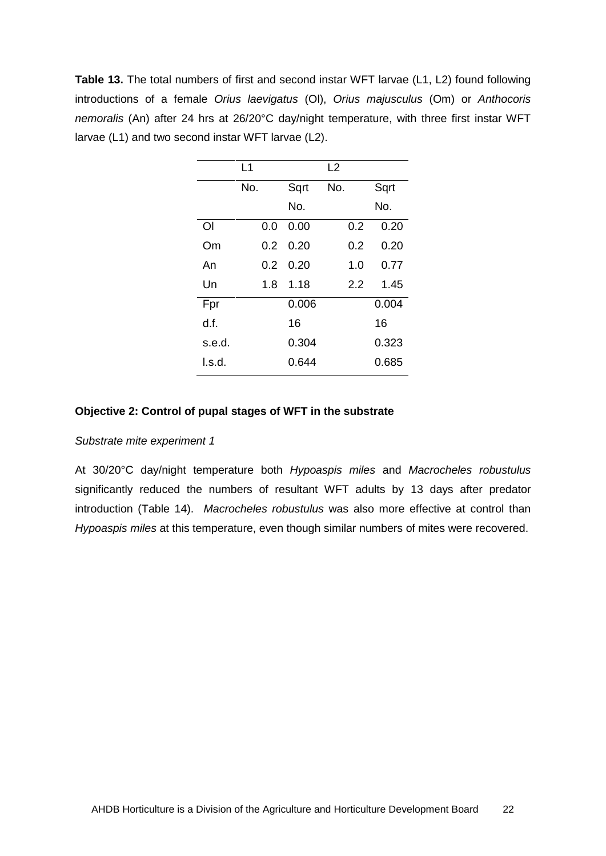**Table 13.** The total numbers of first and second instar WFT larvae (L1, L2) found following introductions of a female *Orius laevigatus* (Ol), *Orius majusculus* (Om) or *Anthocoris nemoralis* (An) after 24 hrs at 26/20°C day/night temperature, with three first instar WFT larvae (L1) and two second instar WFT larvae (L2).

|        | L1            |       | L2  |       |
|--------|---------------|-------|-----|-------|
|        | No.           | Sqrt  | No. | Sqrt  |
|        |               | No.   |     | No.   |
| Οl     | 0.0           | 0.00  | 0.2 | 0.20  |
| Om     | $0.2^{\circ}$ | 0.20  | 0.2 | 0.20  |
| An     | $0.2^{\circ}$ | 0.20  | 1.0 | 0.77  |
| Un     | 1.8           | 1.18  | 22  | 1.45  |
| Fpr    |               | 0.006 |     | 0.004 |
| d.f.   |               | 16    |     | 16    |
| s.e.d. |               | 0.304 |     | 0.323 |
| l.s.d. |               | 0.644 |     | 0.685 |
|        |               |       |     |       |

#### **Objective 2: Control of pupal stages of WFT in the substrate**

#### *Substrate mite experiment 1*

At 30/20°C day/night temperature both *Hypoaspis miles* and *Macrocheles robustulus* significantly reduced the numbers of resultant WFT adults by 13 days after predator introduction (Table 14). *Macrocheles robustulus* was also more effective at control than *Hypoaspis miles* at this temperature, even though similar numbers of mites were recovered.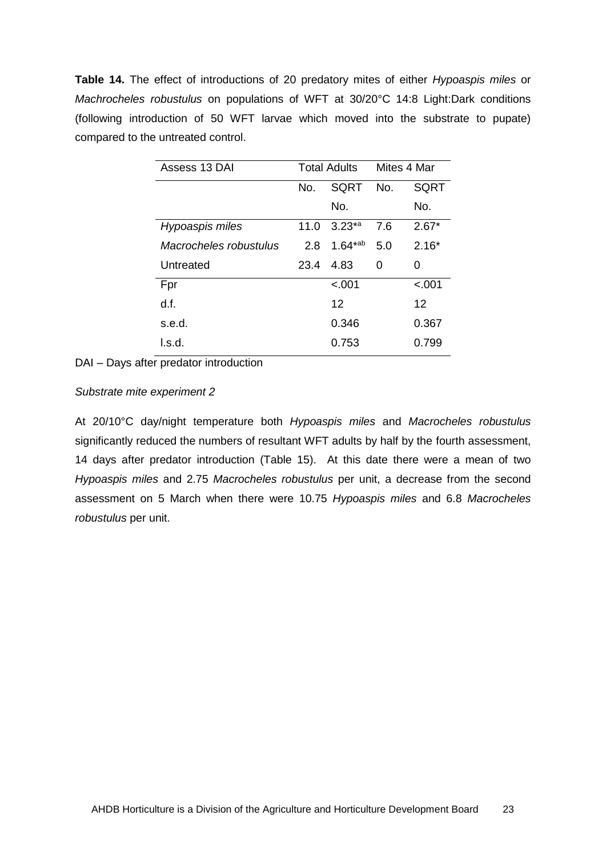**Table 14.** The effect of introductions of 20 predatory mites of either *Hypoaspis miles* or *Machrocheles robustulus* on populations of WFT at 30/20°C 14:8 Light:Dark conditions (following introduction of 50 WFT larvae which moved into the substrate to pupate) compared to the untreated control.

| Assess 13 DAI          |      | <b>Total Adults</b> |     | Mites 4 Mar |  |
|------------------------|------|---------------------|-----|-------------|--|
|                        | No.  | SQRT                | No. | SQRT        |  |
|                        |      | No.                 |     | No.         |  |
| Hypoaspis miles        | 11.0 | $3.23^{*a}$         | 7.6 | $2.67*$     |  |
| Macrocheles robustulus | 2.8  | $1.64^{*ab}$        | 5.0 | $2.16*$     |  |
| Untreated              | 23.4 | 4.83                | 0   | 0           |  |
| Fpr                    |      | $-.001$             |     | $-.001$     |  |
| d.f.                   |      | 12                  |     | 12          |  |
| s.e.d.                 |      | 0.346               |     | 0.367       |  |
| l.s.d.                 |      | 0.753               |     | 0.799       |  |

DAI – Days after predator introduction

## *Substrate mite experiment 2*

At 20/10°C day/night temperature both *Hypoaspis miles* and *Macrocheles robustulus* significantly reduced the numbers of resultant WFT adults by half by the fourth assessment, 14 days after predator introduction (Table 15). At this date there were a mean of two *Hypoaspis miles* and 2.75 *Macrocheles robustulus* per unit, a decrease from the second assessment on 5 March when there were 10.75 *Hypoaspis miles* and 6.8 *Macrocheles robustulus* per unit.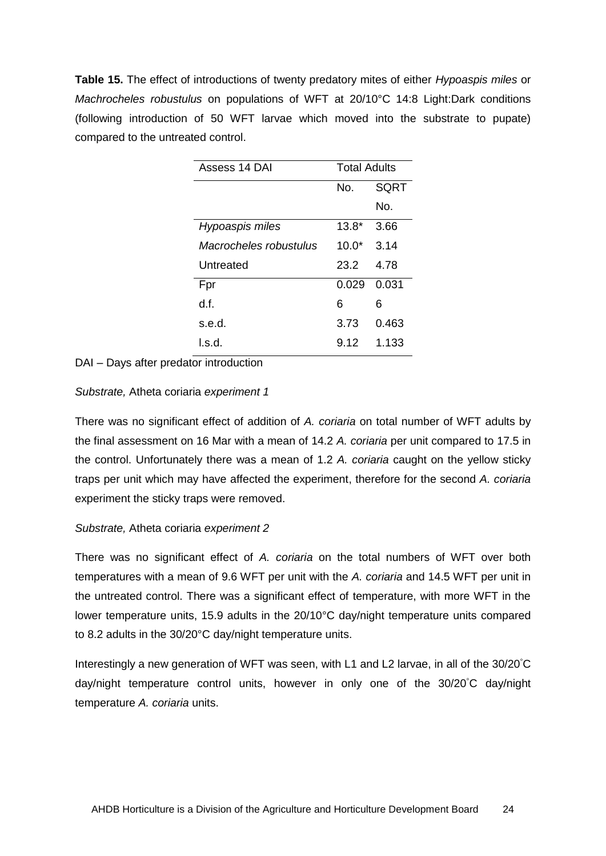**Table 15.** The effect of introductions of twenty predatory mites of either *Hypoaspis miles* or *Machrocheles robustulus* on populations of WFT at 20/10°C 14:8 Light:Dark conditions (following introduction of 50 WFT larvae which moved into the substrate to pupate) compared to the untreated control.

| Assess 14 DAI          | <b>Total Adults</b> |             |  |  |
|------------------------|---------------------|-------------|--|--|
|                        | No.                 | <b>SQRT</b> |  |  |
|                        |                     | No.         |  |  |
| Hypoaspis miles        | $13.8*$             | 3.66        |  |  |
| Macrocheles robustulus | 10.0 <sup>*</sup>   | 3.14        |  |  |
| Untreated              | 23.2                | 4.78        |  |  |
| Fpr                    | 0.029               | 0.031       |  |  |
| d f.                   | 6                   | 6           |  |  |
| s.e.d.                 | 3.73                | 0.463       |  |  |
| l.s.d.                 | 9.12                | 1.133       |  |  |

DAI – Days after predator introduction

*Substrate,* Atheta coriaria *experiment 1*

There was no significant effect of addition of *A. coriaria* on total number of WFT adults by the final assessment on 16 Mar with a mean of 14.2 *A. coriaria* per unit compared to 17.5 in the control. Unfortunately there was a mean of 1.2 *A. coriaria* caught on the yellow sticky traps per unit which may have affected the experiment, therefore for the second *A. coriaria* experiment the sticky traps were removed.

## *Substrate,* Atheta coriaria *experiment 2*

There was no significant effect of *A. coriaria* on the total numbers of WFT over both temperatures with a mean of 9.6 WFT per unit with the *A. coriaria* and 14.5 WFT per unit in the untreated control. There was a significant effect of temperature, with more WFT in the lower temperature units, 15.9 adults in the 20/10°C day/night temperature units compared to 8.2 adults in the 30/20°C day/night temperature units.

Interestingly a new generation of WFT was seen, with L1 and L2 larvae, in all of the 30/20°C day/night temperature control units, however in only one of the 30/20°C day/night temperature *A. coriaria* units.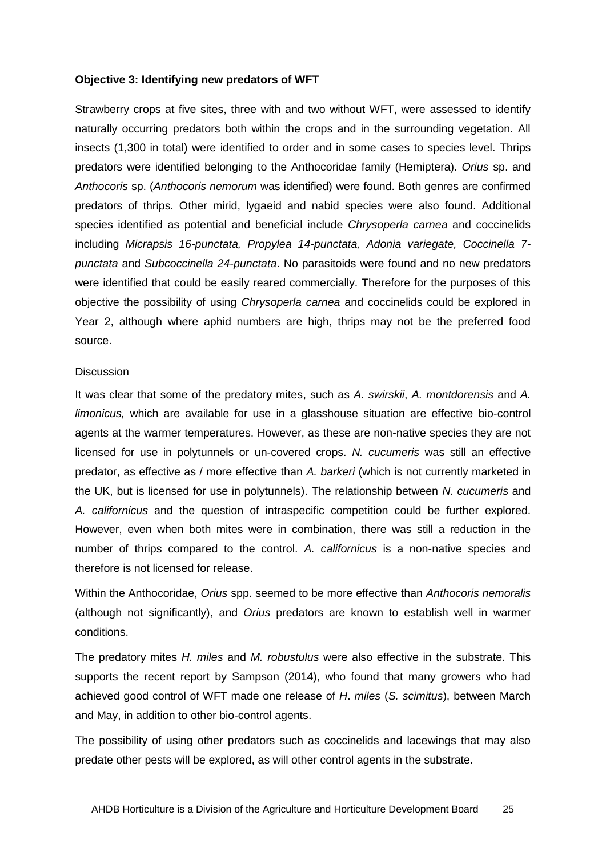#### **Objective 3: Identifying new predators of WFT**

Strawberry crops at five sites, three with and two without WFT, were assessed to identify naturally occurring predators both within the crops and in the surrounding vegetation. All insects (1,300 in total) were identified to order and in some cases to species level. Thrips predators were identified belonging to the Anthocoridae family (Hemiptera). *Orius* sp. and *Anthocoris* sp. (*Anthocoris nemorum* was identified) were found. Both genres are confirmed predators of thrips. Other mirid, lygaeid and nabid species were also found. Additional species identified as potential and beneficial include *Chrysoperla carnea* and coccinelids including *Micrapsis 16-punctata, Propylea 14-punctata, Adonia variegate, Coccinella 7 punctata* and *Subcoccinella 24-punctata*. No parasitoids were found and no new predators were identified that could be easily reared commercially. Therefore for the purposes of this objective the possibility of using *Chrysoperla carnea* and coccinelids could be explored in Year 2, although where aphid numbers are high, thrips may not be the preferred food source.

#### **Discussion**

It was clear that some of the predatory mites, such as *A. swirskii*, *A. montdorensis* and *A. limonicus,* which are available for use in a glasshouse situation are effective bio-control agents at the warmer temperatures. However, as these are non-native species they are not licensed for use in polytunnels or un-covered crops. *N. cucumeris* was still an effective predator, as effective as / more effective than *A. barkeri* (which is not currently marketed in the UK, but is licensed for use in polytunnels). The relationship between *N. cucumeris* and *A. californicus* and the question of intraspecific competition could be further explored. However, even when both mites were in combination, there was still a reduction in the number of thrips compared to the control. *A. californicus* is a non-native species and therefore is not licensed for release.

Within the Anthocoridae, *Orius* spp. seemed to be more effective than *Anthocoris nemoralis* (although not significantly), and *Orius* predators are known to establish well in warmer conditions.

The predatory mites *H. miles* and *M. robustulus* were also effective in the substrate. This supports the recent report by Sampson (2014), who found that many growers who had achieved good control of WFT made one release of *H*. *miles* (*S. scimitus*), between March and May, in addition to other bio-control agents.

The possibility of using other predators such as coccinelids and lacewings that may also predate other pests will be explored, as will other control agents in the substrate.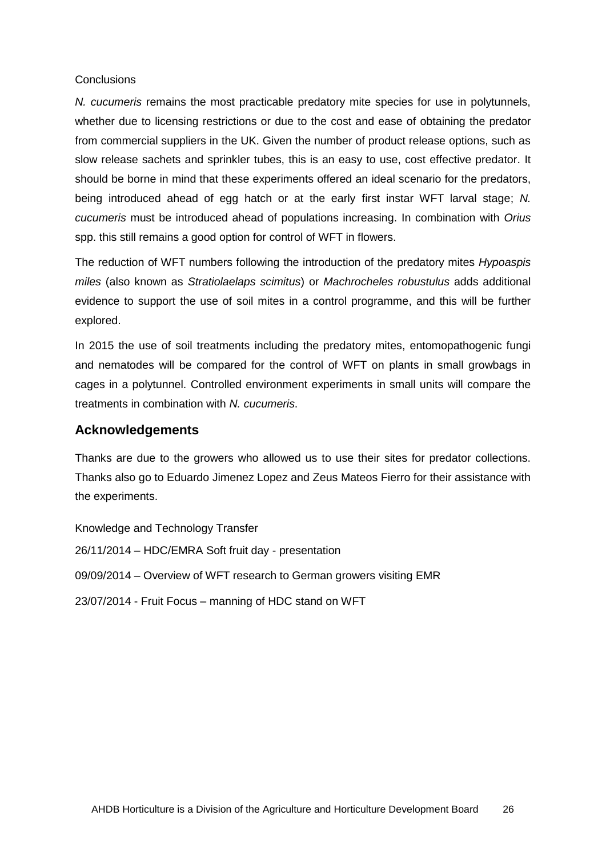#### <span id="page-29-0"></span>**Conclusions**

*N. cucumeris* remains the most practicable predatory mite species for use in polytunnels, whether due to licensing restrictions or due to the cost and ease of obtaining the predator from commercial suppliers in the UK. Given the number of product release options, such as slow release sachets and sprinkler tubes, this is an easy to use, cost effective predator. It should be borne in mind that these experiments offered an ideal scenario for the predators, being introduced ahead of egg hatch or at the early first instar WFT larval stage; *N. cucumeris* must be introduced ahead of populations increasing. In combination with *Orius*  spp. this still remains a good option for control of WFT in flowers.

The reduction of WFT numbers following the introduction of the predatory mites *Hypoaspis miles* (also known as *Stratiolaelaps scimitus*) or *Machrocheles robustulus* adds additional evidence to support the use of soil mites in a control programme, and this will be further explored.

In 2015 the use of soil treatments including the predatory mites, entomopathogenic fungi and nematodes will be compared for the control of WFT on plants in small growbags in cages in a polytunnel. Controlled environment experiments in small units will compare the treatments in combination with *N. cucumeris*.

## **Acknowledgements**

Thanks are due to the growers who allowed us to use their sites for predator collections. Thanks also go to Eduardo Jimenez Lopez and Zeus Mateos Fierro for their assistance with the experiments.

<span id="page-29-2"></span><span id="page-29-1"></span>Knowledge and Technology Transfer 26/11/2014 – HDC/EMRA Soft fruit day - presentation 09/09/2014 – Overview of WFT research to German growers visiting EMR 23/07/2014 - Fruit Focus – manning of HDC stand on WFT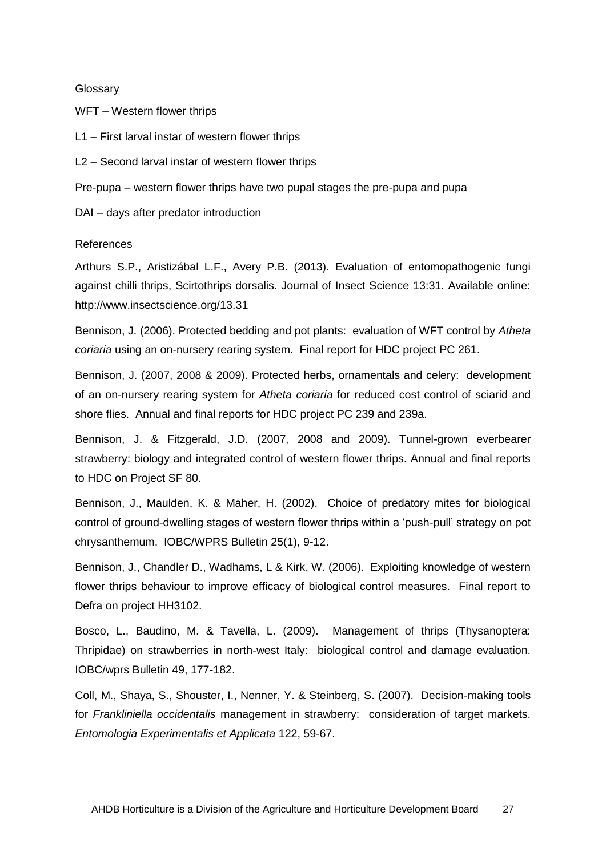#### **Glossary**

WFT – Western flower thrips

L1 – First larval instar of western flower thrips

L2 – Second larval instar of western flower thrips

Pre-pupa – western flower thrips have two pupal stages the pre-pupa and pupa

DAI – days after predator introduction

#### <span id="page-30-0"></span>References

Arthurs S.P., Aristizábal L.F., Avery P.B. (2013). Evaluation of entomopathogenic fungi against chilli thrips, Scirtothrips dorsalis. Journal of Insect Science 13:31. Available online: http://www.insectscience.org/13.31

Bennison, J. (2006). Protected bedding and pot plants: evaluation of WFT control by *Atheta coriaria* using an on-nursery rearing system. Final report for HDC project PC 261.

Bennison, J. (2007, 2008 & 2009). Protected herbs, ornamentals and celery: development of an on-nursery rearing system for *Atheta coriaria* for reduced cost control of sciarid and shore flies. Annual and final reports for HDC project PC 239 and 239a.

Bennison, J. & Fitzgerald, J.D. (2007, 2008 and 2009). Tunnel-grown everbearer strawberry: biology and integrated control of western flower thrips. Annual and final reports to HDC on Project SF 80.

Bennison, J., Maulden, K. & Maher, H. (2002). Choice of predatory mites for biological control of ground-dwelling stages of western flower thrips within a 'push-pull' strategy on pot chrysanthemum. IOBC/WPRS Bulletin 25(1), 9-12.

Bennison, J., Chandler D., Wadhams, L & Kirk, W. (2006). Exploiting knowledge of western flower thrips behaviour to improve efficacy of biological control measures. Final report to Defra on project HH3102.

Bosco, L., Baudino, M. & Tavella, L. (2009). Management of thrips (Thysanoptera: Thripidae) on strawberries in north-west Italy: biological control and damage evaluation. IOBC/wprs Bulletin 49, 177-182.

Coll, M., Shaya, S., Shouster, I., Nenner, Y. & Steinberg, S. (2007). Decision-making tools for *Frankliniella occidentalis* management in strawberry: consideration of target markets. *Entomologia Experimentalis et Applicata* 122, 59-67.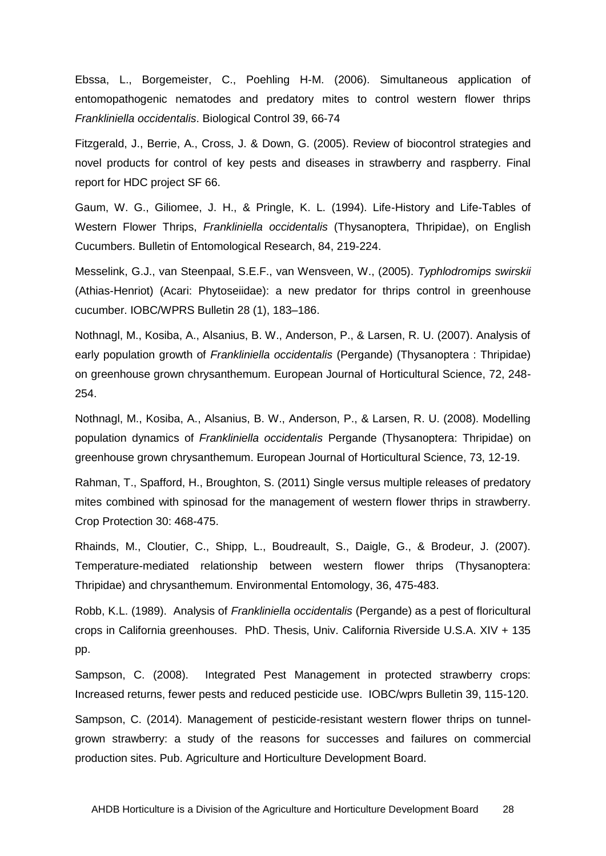Ebssa, L., Borgemeister, C., Poehling H-M. (2006). Simultaneous application of entomopathogenic nematodes and predatory mites to control western flower thrips *Frankliniella occidentalis*. Biological Control 39, 66-74

Fitzgerald, J., Berrie, A., Cross, J. & Down, G. (2005). Review of biocontrol strategies and novel products for control of key pests and diseases in strawberry and raspberry. Final report for HDC project SF 66.

Gaum, W. G., Giliomee, J. H., & Pringle, K. L. (1994). Life-History and Life-Tables of Western Flower Thrips, *Frankliniella occidentalis* (Thysanoptera, Thripidae), on English Cucumbers. Bulletin of Entomological Research, 84, 219-224.

Messelink, G.J., van Steenpaal, S.E.F., van Wensveen, W., (2005). *Typhlodromips swirskii* (Athias-Henriot) (Acari: Phytoseiidae): a new predator for thrips control in greenhouse cucumber. IOBC/WPRS Bulletin 28 (1), 183–186.

Nothnagl, M., Kosiba, A., Alsanius, B. W., Anderson, P., & Larsen, R. U. (2007). Analysis of early population growth of *Frankliniella occidentalis* (Pergande) (Thysanoptera : Thripidae) on greenhouse grown chrysanthemum. European Journal of Horticultural Science, 72, 248- 254.

Nothnagl, M., Kosiba, A., Alsanius, B. W., Anderson, P., & Larsen, R. U. (2008). Modelling population dynamics of *Frankliniella occidentalis* Pergande (Thysanoptera: Thripidae) on greenhouse grown chrysanthemum. European Journal of Horticultural Science, 73, 12-19.

Rahman, T., Spafford, H., Broughton, S. (2011) Single versus multiple releases of predatory mites combined with spinosad for the management of western flower thrips in strawberry. Crop Protection 30: 468-475.

Rhainds, M., Cloutier, C., Shipp, L., Boudreault, S., Daigle, G., & Brodeur, J. (2007). Temperature-mediated relationship between western flower thrips (Thysanoptera: Thripidae) and chrysanthemum. Environmental Entomology, 36, 475-483.

Robb, K.L. (1989). Analysis of *Frankliniella occidentalis* (Pergande) as a pest of floricultural crops in California greenhouses. PhD. Thesis, Univ. California Riverside U.S.A. XIV + 135 pp.

Sampson, C. (2008). Integrated Pest Management in protected strawberry crops: Increased returns, fewer pests and reduced pesticide use. IOBC/wprs Bulletin 39, 115-120.

Sampson, C. (2014). Management of pesticide-resistant western flower thrips on tunnelgrown strawberry: a study of the reasons for successes and failures on commercial production sites. Pub. Agriculture and Horticulture Development Board.